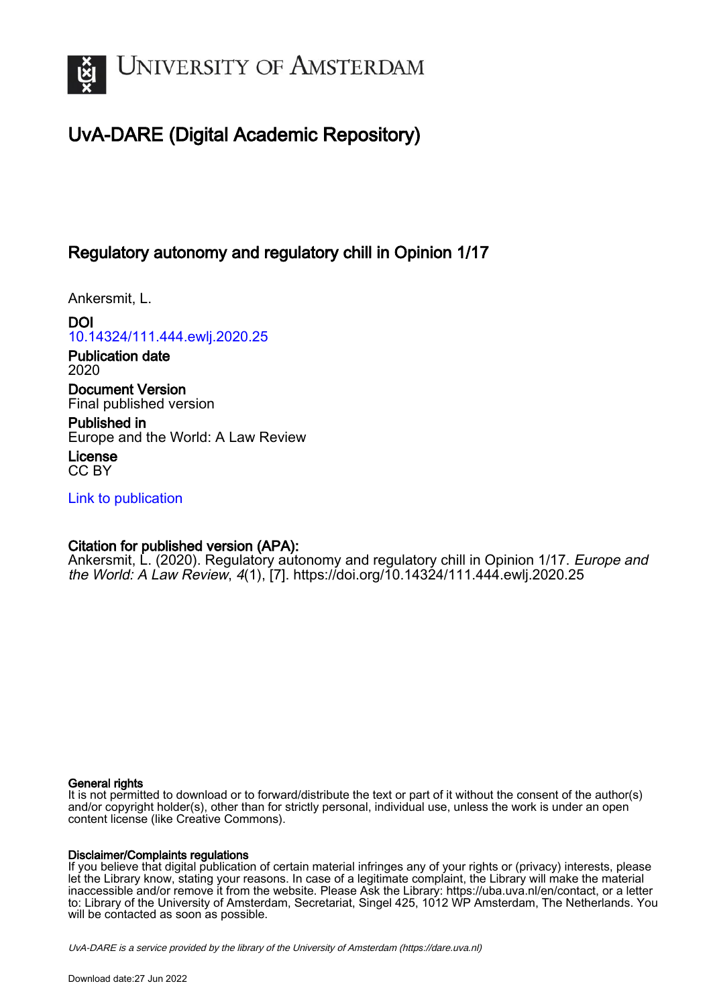

# UvA-DARE (Digital Academic Repository)

# Regulatory autonomy and regulatory chill in Opinion 1/17

Ankersmit, L.

DOI [10.14324/111.444.ewlj.2020.25](https://doi.org/10.14324/111.444.ewlj.2020.25)

Publication date 2020

Document Version Final published version

Published in Europe and the World: A Law Review

License CC BY

[Link to publication](https://dare.uva.nl/personal/pure/en/publications/regulatory-autonomy-and-regulatory-chill-in-opinion-117(6f7b6163-1f0e-4395-bb23-65e6d9800a3f).html)

# Citation for published version (APA):

Ankersmit, L. (2020). Regulatory autonomy and regulatory chill in Opinion 1/17. Europe and the World: A Law Review, 4(1), [7]. <https://doi.org/10.14324/111.444.ewlj.2020.25>

# General rights

It is not permitted to download or to forward/distribute the text or part of it without the consent of the author(s) and/or copyright holder(s), other than for strictly personal, individual use, unless the work is under an open content license (like Creative Commons).

# Disclaimer/Complaints regulations

If you believe that digital publication of certain material infringes any of your rights or (privacy) interests, please let the Library know, stating your reasons. In case of a legitimate complaint, the Library will make the material inaccessible and/or remove it from the website. Please Ask the Library: https://uba.uva.nl/en/contact, or a letter to: Library of the University of Amsterdam, Secretariat, Singel 425, 1012 WP Amsterdam, The Netherlands. You will be contacted as soon as possible.

UvA-DARE is a service provided by the library of the University of Amsterdam (http*s*://dare.uva.nl)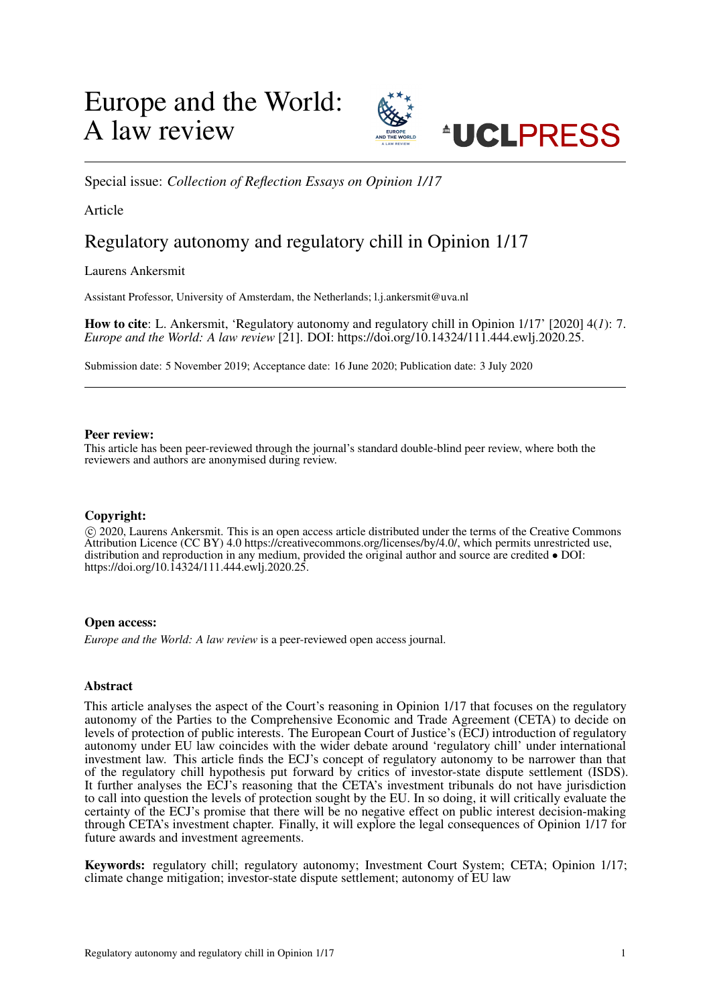# Europe and the World: A law review



Special issue: *Collection of Reflection Essays on Opinion 1/17*

# Article

# Regulatory autonomy and regulatory chill in Opinion 1/17

Laurens Ankersmit

Assistant Professor, University of Amsterdam, the Netherlands; l.j.ankersmit@uva.nl

How to cite: L. Ankersmit, 'Regulatory autonomy and regulatory chill in Opinion 1/17' [2020] 4(*1*): 7. *Europe and the World: A law review* [21]. DOI: https://doi.org/10.14324/111.444.ewlj.2020.25.

Submission date: 5 November 2019; Acceptance date: 16 June 2020; Publication date: 3 July 2020

# Peer review:

This article has been peer-reviewed through the journal's standard double-blind peer review, where both the reviewers and authors are anonymised during review.

# Copyright:

 c 2020, Laurens Ankersmit. This is an open access article distributed under the terms of the Creative Commons Attribution Licence (CC BY) 4.0 https://creativecommons.org/licenses/by/4.0/, which permits unrestricted use, distribution and reproduction in any medium, provided the original author and source are credited • DOI: https://doi.org/10.14324/111.444.ewlj.2020.25.

# Open access:

*Europe and the World: A law review* is a peer-reviewed open access journal.

# Abstract

This article analyses the aspect of the Court's reasoning in Opinion 1/17 that focuses on the regulatory autonomy of the Parties to the Comprehensive Economic and Trade Agreement (CETA) to decide on levels of protection of public interests. The European Court of Justice's (ECJ) introduction of regulatory autonomy under EU law coincides with the wider debate around 'regulatory chill' under international investment law. This article finds the ECJ's concept of regulatory autonomy to be narrower than that of the regulatory chill hypothesis put forward by critics of investor-state dispute settlement (ISDS). It further analyses the ECJ's reasoning that the CETA's investment tribunals do not have jurisdiction to call into question the levels of protection sought by the EU. In so doing, it will critically evaluate the certainty of the ECJ's promise that there will be no negative effect on public interest decision-making through CETA's investment chapter. Finally, it will explore the legal consequences of Opinion 1/17 for future awards and investment agreements.

Keywords: regulatory chill; regulatory autonomy; Investment Court System; CETA; Opinion 1/17; climate change mitigation; investor-state dispute settlement; autonomy of EU law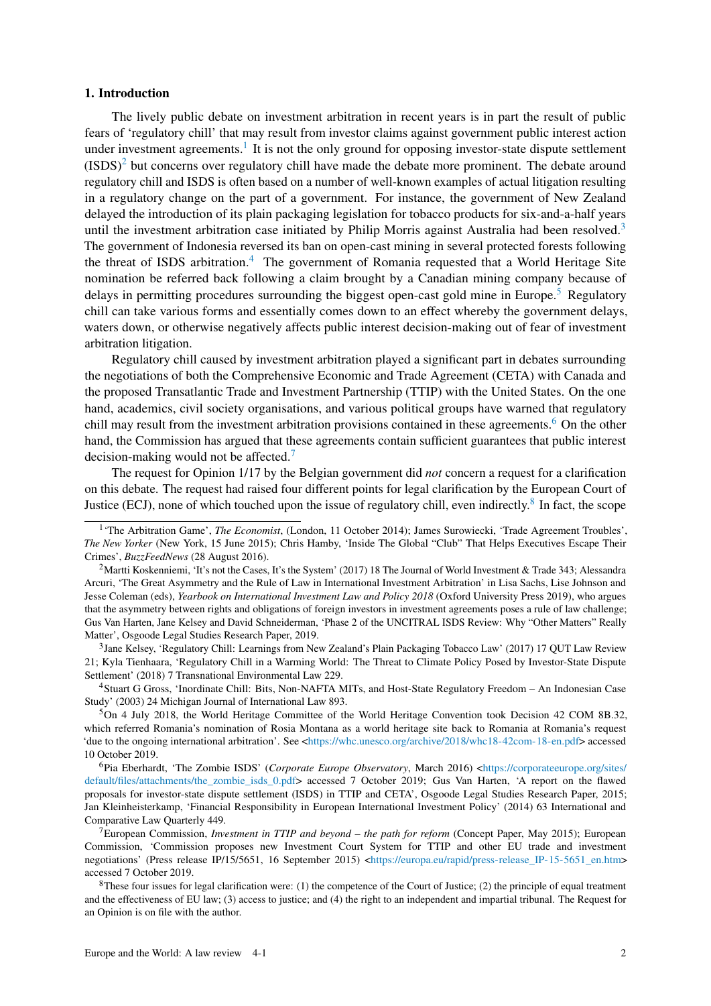# 1. Introduction

The lively public debate on investment arbitration in recent years is in part the result of public fears of 'regulatory chill' that may result from investor claims against government public interest action under investment agreements.<sup>[1](#page-2-0)</sup> It is not the only ground for opposing investor-state dispute settlement  $(ISDS)<sup>2</sup>$  $(ISDS)<sup>2</sup>$  $(ISDS)<sup>2</sup>$  but concerns over regulatory chill have made the debate more prominent. The debate around regulatory chill and ISDS is often based on a number of well-known examples of actual litigation resulting in a regulatory change on the part of a government. For instance, the government of New Zealand delayed the introduction of its plain packaging legislation for tobacco products for six-and-a-half years until the investment arbitration case initiated by Philip Morris against Australia had been resolved.<sup>[3](#page-2-2)</sup> The government of Indonesia reversed its ban on open-cast mining in several protected forests following the threat of ISDS arbitration.<sup>[4](#page-2-3)</sup> The government of Romania requested that a World Heritage Site nomination be referred back following a claim brought by a Canadian mining company because of delays in permitting procedures surrounding the biggest open-cast gold mine in Europe.<sup>[5](#page-2-4)</sup> Regulatory chill can take various forms and essentially comes down to an effect whereby the government delays, waters down, or otherwise negatively affects public interest decision-making out of fear of investment arbitration litigation.

Regulatory chill caused by investment arbitration played a significant part in debates surrounding the negotiations of both the Comprehensive Economic and Trade Agreement (CETA) with Canada and the proposed Transatlantic Trade and Investment Partnership (TTIP) with the United States. On the one hand, academics, civil society organisations, and various political groups have warned that regulatory chill may result from the investment arbitration provisions contained in these agreements.<sup>[6](#page-2-5)</sup> On the other hand, the Commission has argued that these agreements contain sufficient guarantees that public interest decision-making would not be affected.<sup>[7](#page-2-6)</sup>

The request for Opinion 1/17 by the Belgian government did *not* concern a request for a clarification on this debate. The request had raised four different points for legal clarification by the European Court of Justice (ECJ), none of which touched upon the issue of regulatory chill, even indirectly.<sup>[8](#page-2-7)</sup> In fact, the scope

<span id="page-2-2"></span><sup>3</sup> Jane Kelsey, 'Regulatory Chill: Learnings from New Zealand's Plain Packaging Tobacco Law' (2017) 17 QUT Law Review 21; Kyla Tienhaara, 'Regulatory Chill in a Warming World: The Threat to Climate Policy Posed by Investor-State Dispute Settlement' (2018) 7 Transnational Environmental Law 229.

<span id="page-2-3"></span><sup>4</sup>Stuart G Gross, 'Inordinate Chill: Bits, Non-NAFTA MITs, and Host-State Regulatory Freedom – An Indonesian Case Study' (2003) 24 Michigan Journal of International Law 893.

<span id="page-2-5"></span><sup>6</sup>Pia Eberhardt, 'The Zombie ISDS' (*Corporate Europe Observatory*, March 2016) [<https://corporateeurope.org/sites/](https://corporateeurope.org/sites/default/files/attachments/the_zombie_isds_0.pdf) [default/files/attachments/the\\_zombie\\_isds\\_0.pdf>](https://corporateeurope.org/sites/default/files/attachments/the_zombie_isds_0.pdf) accessed 7 October 2019; Gus Van Harten, 'A report on the flawed proposals for investor-state dispute settlement (ISDS) in TTIP and CETA', Osgoode Legal Studies Research Paper, 2015; Jan Kleinheisterkamp, 'Financial Responsibility in European International Investment Policy' (2014) 63 International and Comparative Law Quarterly 449.

<span id="page-2-6"></span><sup>7</sup>European Commission, *Investment in TTIP and beyond – the path for reform* (Concept Paper, May 2015); European Commission, 'Commission proposes new Investment Court System for TTIP and other EU trade and investment negotiations' (Press release IP/15/5651, 16 September 2015) [<https://europa.eu/rapid/press-release\\_IP-15-5651\\_en.htm>](https://europa.eu/rapid/press-release_IP-15-5651_en.htm) accessed 7 October 2019.

<span id="page-2-7"></span> ${}^{8}$ These four issues for legal clarification were: (1) the competence of the Court of Justice; (2) the principle of equal treatment and the effectiveness of EU law; (3) access to justice; and (4) the right to an independent and impartial tribunal. The Request for an Opinion is on file with the author.

<span id="page-2-0"></span><sup>&</sup>lt;sup>1</sup> 'The Arbitration Game', *The Economist*, (London, 11 October 2014); James Surowiecki, 'Trade Agreement Troubles', *The New Yorker* (New York, 15 June 2015); Chris Hamby, 'Inside The Global "Club" That Helps Executives Escape Their Crimes', *BuzzFeedNews* (28 August 2016).

<span id="page-2-1"></span><sup>&</sup>lt;sup>2</sup>Martti Koskenniemi, 'It's not the Cases, It's the System' (2017) 18 The Journal of World Investment & Trade 343; Alessandra Arcuri, 'The Great Asymmetry and the Rule of Law in International Investment Arbitration' in Lisa Sachs, Lise Johnson and Jesse Coleman (eds), *Yearbook on International Investment Law and Policy 2018* (Oxford University Press 2019), who argues that the asymmetry between rights and obligations of foreign investors in investment agreements poses a rule of law challenge; Gus Van Harten, Jane Kelsey and David Schneiderman, 'Phase 2 of the UNCITRAL ISDS Review: Why "Other Matters" Really Matter', Osgoode Legal Studies Research Paper, 2019.

<span id="page-2-4"></span> $5$ On 4 July 2018, the World Heritage Committee of the World Heritage Convention took Decision 42 COM 8B.32. which referred Romania's nomination of Rosia Montana as a world heritage site back to Romania at Romania's request 'due to the ongoing international arbitration'. See [<https://whc.unesco.org/archive/2018/whc18-42com-18-en.pdf>](https://whc.unesco.org/archive/2018/whc18-42com-18-en.pdf) accessed 10 October 2019.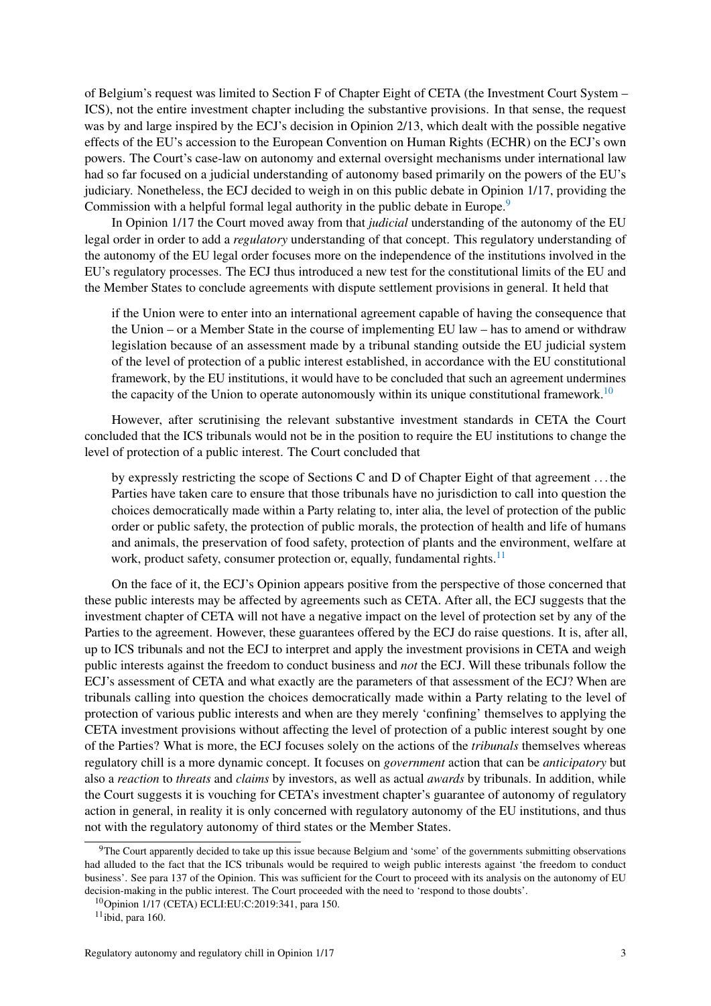of Belgium's request was limited to Section F of Chapter Eight of CETA (the Investment Court System – ICS), not the entire investment chapter including the substantive provisions. In that sense, the request was by and large inspired by the ECJ's decision in Opinion 2/13, which dealt with the possible negative effects of the EU's accession to the European Convention on Human Rights (ECHR) on the ECJ's own powers. The Court's case-law on autonomy and external oversight mechanisms under international law had so far focused on a judicial understanding of autonomy based primarily on the powers of the EU's judiciary. Nonetheless, the ECJ decided to weigh in on this public debate in Opinion 1/17, providing the Commission with a helpful formal legal authority in the public debate in Europe.<sup>[9](#page-3-0)</sup>

In Opinion 1/17 the Court moved away from that *judicial* understanding of the autonomy of the EU legal order in order to add a *regulatory* understanding of that concept. This regulatory understanding of the autonomy of the EU legal order focuses more on the independence of the institutions involved in the EU's regulatory processes. The ECJ thus introduced a new test for the constitutional limits of the EU and the Member States to conclude agreements with dispute settlement provisions in general. It held that

if the Union were to enter into an international agreement capable of having the consequence that the Union – or a Member State in the course of implementing EU law – has to amend or withdraw legislation because of an assessment made by a tribunal standing outside the EU judicial system of the level of protection of a public interest established, in accordance with the EU constitutional framework, by the EU institutions, it would have to be concluded that such an agreement undermines the capacity of the Union to operate autonomously within its unique constitutional framework.<sup>[10](#page-3-1)</sup>

However, after scrutinising the relevant substantive investment standards in CETA the Court concluded that the ICS tribunals would not be in the position to require the EU institutions to change the level of protection of a public interest. The Court concluded that

by expressly restricting the scope of Sections C and D of Chapter Eight of that agreement . . . the Parties have taken care to ensure that those tribunals have no jurisdiction to call into question the choices democratically made within a Party relating to, inter alia, the level of protection of the public order or public safety, the protection of public morals, the protection of health and life of humans and animals, the preservation of food safety, protection of plants and the environment, welfare at work, product safety, consumer protection or, equally, fundamental rights.<sup>[11](#page-3-2)</sup>

On the face of it, the ECJ's Opinion appears positive from the perspective of those concerned that these public interests may be affected by agreements such as CETA. After all, the ECJ suggests that the investment chapter of CETA will not have a negative impact on the level of protection set by any of the Parties to the agreement. However, these guarantees offered by the ECJ do raise questions. It is, after all, up to ICS tribunals and not the ECJ to interpret and apply the investment provisions in CETA and weigh public interests against the freedom to conduct business and *not* the ECJ. Will these tribunals follow the ECJ's assessment of CETA and what exactly are the parameters of that assessment of the ECJ? When are tribunals calling into question the choices democratically made within a Party relating to the level of protection of various public interests and when are they merely 'confining' themselves to applying the CETA investment provisions without affecting the level of protection of a public interest sought by one of the Parties? What is more, the ECJ focuses solely on the actions of the *tribunals* themselves whereas regulatory chill is a more dynamic concept. It focuses on *government* action that can be *anticipatory* but also a *reaction* to *threats* and *claims* by investors, as well as actual *awards* by tribunals. In addition, while the Court suggests it is vouching for CETA's investment chapter's guarantee of autonomy of regulatory action in general, in reality it is only concerned with regulatory autonomy of the EU institutions, and thus not with the regulatory autonomy of third states or the Member States.

<span id="page-3-0"></span> $9$ The Court apparently decided to take up this issue because Belgium and 'some' of the governments submitting observations had alluded to the fact that the ICS tribunals would be required to weigh public interests against 'the freedom to conduct business'. See para 137 of the Opinion. This was sufficient for the Court to proceed with its analysis on the autonomy of EU decision-making in the public interest. The Court proceeded with the need to 'respond to those doubts'.

<span id="page-3-1"></span><sup>10</sup>Opinion 1/17 (CETA) ECLI:EU:C:2019:341, para 150.

<span id="page-3-2"></span> $11$ ibid, para 160.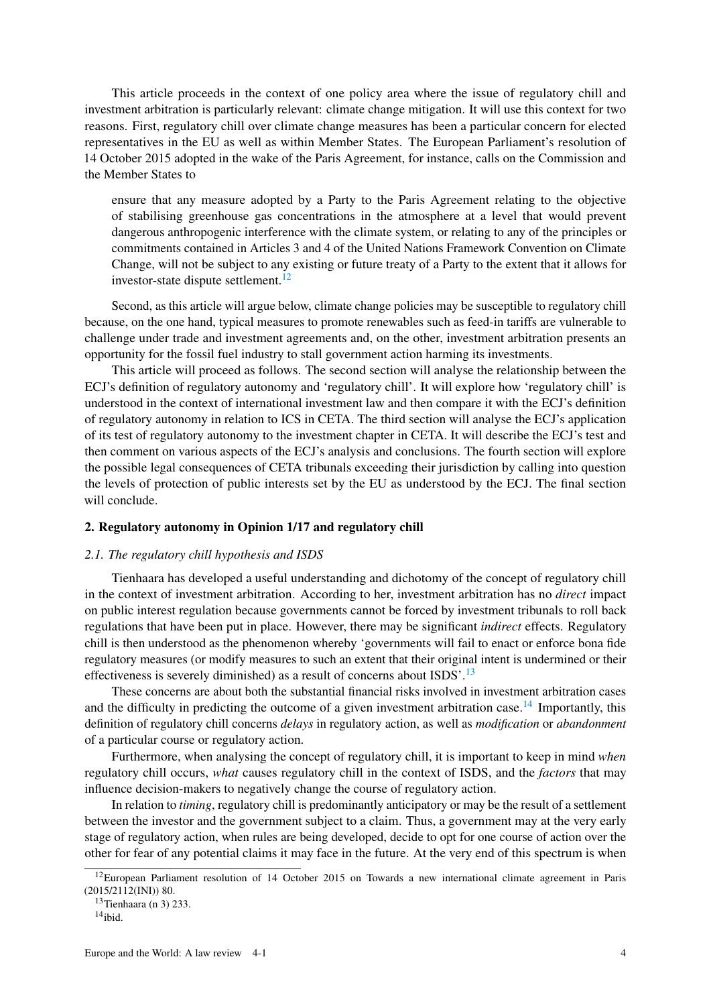This article proceeds in the context of one policy area where the issue of regulatory chill and investment arbitration is particularly relevant: climate change mitigation. It will use this context for two reasons. First, regulatory chill over climate change measures has been a particular concern for elected representatives in the EU as well as within Member States. The European Parliament's resolution of 14 October 2015 adopted in the wake of the Paris Agreement, for instance, calls on the Commission and the Member States to

ensure that any measure adopted by a Party to the Paris Agreement relating to the objective of stabilising greenhouse gas concentrations in the atmosphere at a level that would prevent dangerous anthropogenic interference with the climate system, or relating to any of the principles or commitments contained in Articles 3 and 4 of the United Nations Framework Convention on Climate Change, will not be subject to any existing or future treaty of a Party to the extent that it allows for investor-state dispute settlement. $12$ 

Second, as this article will argue below, climate change policies may be susceptible to regulatory chill because, on the one hand, typical measures to promote renewables such as feed-in tariffs are vulnerable to challenge under trade and investment agreements and, on the other, investment arbitration presents an opportunity for the fossil fuel industry to stall government action harming its investments.

This article will proceed as follows. The second section will analyse the relationship between the ECJ's definition of regulatory autonomy and 'regulatory chill'. It will explore how 'regulatory chill' is understood in the context of international investment law and then compare it with the ECJ's definition of regulatory autonomy in relation to ICS in CETA. The third section will analyse the ECJ's application of its test of regulatory autonomy to the investment chapter in CETA. It will describe the ECJ's test and then comment on various aspects of the ECJ's analysis and conclusions. The fourth section will explore the possible legal consequences of CETA tribunals exceeding their jurisdiction by calling into question the levels of protection of public interests set by the EU as understood by the ECJ. The final section will conclude.

## 2. Regulatory autonomy in Opinion 1/17 and regulatory chill

# <span id="page-4-3"></span>*2.1. The regulatory chill hypothesis and ISDS*

Tienhaara has developed a useful understanding and dichotomy of the concept of regulatory chill in the context of investment arbitration. According to her, investment arbitration has no *direct* impact on public interest regulation because governments cannot be forced by investment tribunals to roll back regulations that have been put in place. However, there may be significant *indirect* effects. Regulatory chill is then understood as the phenomenon whereby 'governments will fail to enact or enforce bona fide regulatory measures (or modify measures to such an extent that their original intent is undermined or their effectiveness is severely diminished) as a result of concerns about ISDS'.<sup>[13](#page-4-1)</sup>

These concerns are about both the substantial financial risks involved in investment arbitration cases and the difficulty in predicting the outcome of a given investment arbitration case.<sup>[14](#page-4-2)</sup> Importantly, this definition of regulatory chill concerns *delays* in regulatory action, as well as *modification* or *abandonment* of a particular course or regulatory action.

Furthermore, when analysing the concept of regulatory chill, it is important to keep in mind *when* regulatory chill occurs, *what* causes regulatory chill in the context of ISDS, and the *factors* that may influence decision-makers to negatively change the course of regulatory action.

In relation to *timing*, regulatory chill is predominantly anticipatory or may be the result of a settlement between the investor and the government subject to a claim. Thus, a government may at the very early stage of regulatory action, when rules are being developed, decide to opt for one course of action over the other for fear of any potential claims it may face in the future. At the very end of this spectrum is when

<span id="page-4-0"></span><sup>&</sup>lt;sup>12</sup>European Parliament resolution of 14 October 2015 on Towards a new international climate agreement in Paris (2015/2112(INI)) 80.

<span id="page-4-1"></span><sup>13</sup>Tienhaara (n 3) 233.

<span id="page-4-2"></span> $14$ ibid.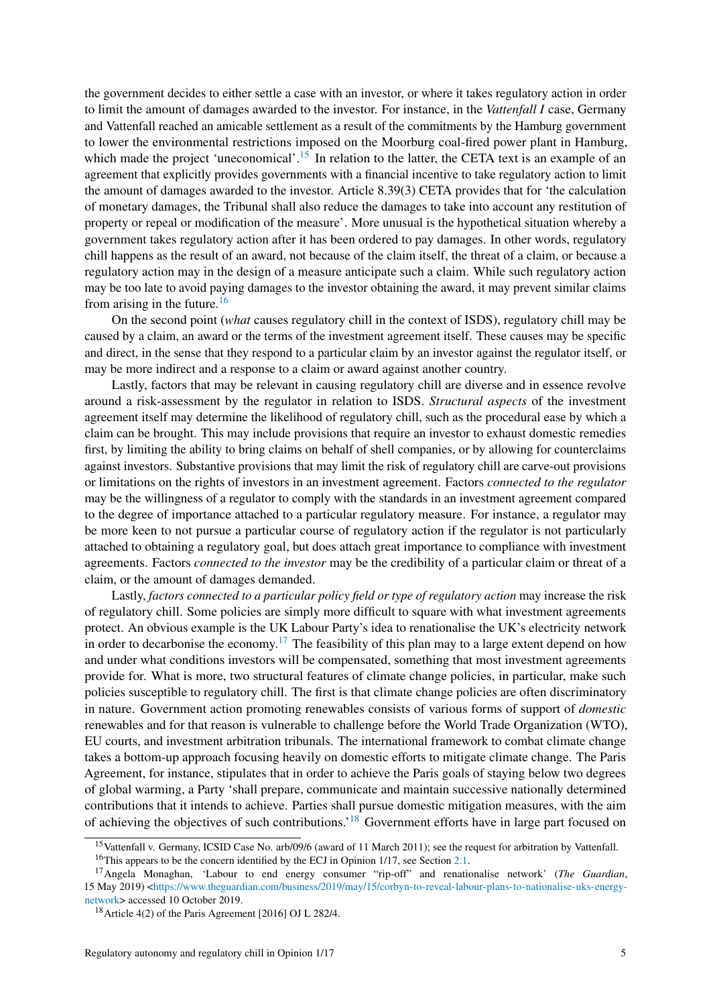the government decides to either settle a case with an investor, or where it takes regulatory action in order to limit the amount of damages awarded to the investor. For instance, in the *Vattenfall I* case, Germany and Vattenfall reached an amicable settlement as a result of the commitments by the Hamburg government to lower the environmental restrictions imposed on the Moorburg coal-fired power plant in Hamburg, which made the project 'uneconomical'.<sup>[15](#page-5-0)</sup> In relation to the latter, the CETA text is an example of an agreement that explicitly provides governments with a financial incentive to take regulatory action to limit the amount of damages awarded to the investor. Article 8.39(3) CETA provides that for 'the calculation of monetary damages, the Tribunal shall also reduce the damages to take into account any restitution of property or repeal or modification of the measure'. More unusual is the hypothetical situation whereby a government takes regulatory action after it has been ordered to pay damages. In other words, regulatory chill happens as the result of an award, not because of the claim itself, the threat of a claim, or because a regulatory action may in the design of a measure anticipate such a claim. While such regulatory action may be too late to avoid paying damages to the investor obtaining the award, it may prevent similar claims from arising in the future. $16$ 

On the second point (*what* causes regulatory chill in the context of ISDS), regulatory chill may be caused by a claim, an award or the terms of the investment agreement itself. These causes may be specific and direct, in the sense that they respond to a particular claim by an investor against the regulator itself, or may be more indirect and a response to a claim or award against another country.

Lastly, factors that may be relevant in causing regulatory chill are diverse and in essence revolve around a risk-assessment by the regulator in relation to ISDS. *Structural aspects* of the investment agreement itself may determine the likelihood of regulatory chill, such as the procedural ease by which a claim can be brought. This may include provisions that require an investor to exhaust domestic remedies first, by limiting the ability to bring claims on behalf of shell companies, or by allowing for counterclaims against investors. Substantive provisions that may limit the risk of regulatory chill are carve-out provisions or limitations on the rights of investors in an investment agreement. Factors *connected to the regulator* may be the willingness of a regulator to comply with the standards in an investment agreement compared to the degree of importance attached to a particular regulatory measure. For instance, a regulator may be more keen to not pursue a particular course of regulatory action if the regulator is not particularly attached to obtaining a regulatory goal, but does attach great importance to compliance with investment agreements. Factors *connected to the investor* may be the credibility of a particular claim or threat of a claim, or the amount of damages demanded.

Lastly, *factors connected to a particular policy field or type of regulatory action* may increase the risk of regulatory chill. Some policies are simply more difficult to square with what investment agreements protect. An obvious example is the UK Labour Party's idea to renationalise the UK's electricity network in order to decarbonise the economy.[17](#page-5-2) The feasibility of this plan may to a large extent depend on how and under what conditions investors will be compensated, something that most investment agreements provide for. What is more, two structural features of climate change policies, in particular, make such policies susceptible to regulatory chill. The first is that climate change policies are often discriminatory in nature. Government action promoting renewables consists of various forms of support of *domestic* renewables and for that reason is vulnerable to challenge before the World Trade Organization (WTO), EU courts, and investment arbitration tribunals. The international framework to combat climate change takes a bottom-up approach focusing heavily on domestic efforts to mitigate climate change. The Paris Agreement, for instance, stipulates that in order to achieve the Paris goals of staying below two degrees of global warming, a Party 'shall prepare, communicate and maintain successive nationally determined contributions that it intends to achieve. Parties shall pursue domestic mitigation measures, with the aim of achieving the objectives of such contributions.'[18](#page-5-3) Government efforts have in large part focused on

<span id="page-5-0"></span><sup>&</sup>lt;sup>15</sup>Vattenfall v. Germany, ICSID Case No. arb/09/6 (award of 11 March 2011); see the request for arbitration by Vattenfall.

<span id="page-5-2"></span><span id="page-5-1"></span><sup>&</sup>lt;sup>16</sup>This appears to be the concern identified by the ECJ in Opinion 1/17, see Section [2.1.](#page-4-3)

<sup>17</sup>Angela Monaghan, 'Labour to end energy consumer "rip-off" and renationalise network' (*The Guardian*, 15 May 2019) [<https://www.theguardian.com/business/2019/may/15/corbyn-to-reveal-labour-plans-to-nationalise-uks-energy](https://www.theguardian.com/business/2019/may/15/corbyn-to-reveal-labour-plans-to-nationalise-uks-energy-network)[network>](https://www.theguardian.com/business/2019/may/15/corbyn-to-reveal-labour-plans-to-nationalise-uks-energy-network) accessed 10 October 2019.

<span id="page-5-3"></span><sup>&</sup>lt;sup>18</sup> Article 4(2) of the Paris Agreement [2016] OJ L 282/4.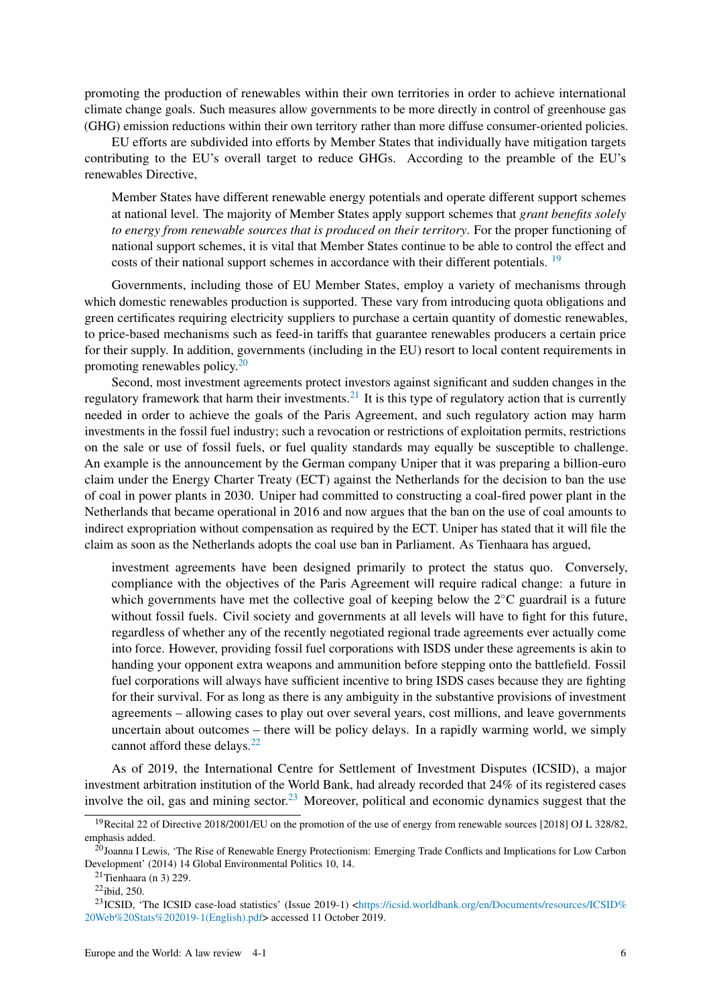promoting the production of renewables within their own territories in order to achieve international climate change goals. Such measures allow governments to be more directly in control of greenhouse gas (GHG) emission reductions within their own territory rather than more diffuse consumer-oriented policies.

EU efforts are subdivided into efforts by Member States that individually have mitigation targets contributing to the EU's overall target to reduce GHGs. According to the preamble of the EU's renewables Directive,

Member States have different renewable energy potentials and operate different support schemes at national level. The majority of Member States apply support schemes that *grant benefits solely to energy from renewable sources that is produced on their territory*. For the proper functioning of national support schemes, it is vital that Member States continue to be able to control the effect and costs of their national support schemes in accordance with their different potentials. <sup>[19](#page-6-0)</sup>

Governments, including those of EU Member States, employ a variety of mechanisms through which domestic renewables production is supported. These vary from introducing quota obligations and green certificates requiring electricity suppliers to purchase a certain quantity of domestic renewables, to price-based mechanisms such as feed-in tariffs that guarantee renewables producers a certain price for their supply. In addition, governments (including in the EU) resort to local content requirements in promoting renewables policy.[20](#page-6-1)

Second, most investment agreements protect investors against significant and sudden changes in the regulatory framework that harm their investments.<sup>[21](#page-6-2)</sup> It is this type of regulatory action that is currently needed in order to achieve the goals of the Paris Agreement, and such regulatory action may harm investments in the fossil fuel industry; such a revocation or restrictions of exploitation permits, restrictions on the sale or use of fossil fuels, or fuel quality standards may equally be susceptible to challenge. An example is the announcement by the German company Uniper that it was preparing a billion-euro claim under the Energy Charter Treaty (ECT) against the Netherlands for the decision to ban the use of coal in power plants in 2030. Uniper had committed to constructing a coal-fired power plant in the Netherlands that became operational in 2016 and now argues that the ban on the use of coal amounts to indirect expropriation without compensation as required by the ECT. Uniper has stated that it will file the claim as soon as the Netherlands adopts the coal use ban in Parliament. As Tienhaara has argued,

investment agreements have been designed primarily to protect the status quo. Conversely, compliance with the objectives of the Paris Agreement will require radical change: a future in which governments have met the collective goal of keeping below the  $2°C$  guardrail is a future without fossil fuels. Civil society and governments at all levels will have to fight for this future, regardless of whether any of the recently negotiated regional trade agreements ever actually come into force. However, providing fossil fuel corporations with ISDS under these agreements is akin to handing your opponent extra weapons and ammunition before stepping onto the battlefield. Fossil fuel corporations will always have sufficient incentive to bring ISDS cases because they are fighting for their survival. For as long as there is any ambiguity in the substantive provisions of investment agreements – allowing cases to play out over several years, cost millions, and leave governments uncertain about outcomes – there will be policy delays. In a rapidly warming world, we simply cannot afford these delays.<sup>[22](#page-6-3)</sup>

As of 2019, the International Centre for Settlement of Investment Disputes (ICSID), a major investment arbitration institution of the World Bank, had already recorded that 24% of its registered cases involve the oil, gas and mining sector.<sup>[23](#page-6-4)</sup> Moreover, political and economic dynamics suggest that the

<span id="page-6-0"></span> $19$ Recital 22 of Directive 2018/2001/EU on the promotion of the use of energy from renewable sources [2018] OJ L 328/82, emphasis added.

<span id="page-6-1"></span><sup>&</sup>lt;sup>20</sup>Joanna I Lewis, 'The Rise of Renewable Energy Protectionism: Emerging Trade Conflicts and Implications for Low Carbon Development' (2014) 14 Global Environmental Politics 10, 14.

<span id="page-6-2"></span><sup>21</sup>Tienhaara (n 3) 229.

<span id="page-6-4"></span><span id="page-6-3"></span><sup>22</sup>ibid, 250.

<sup>&</sup>lt;sup>23</sup>ICSID, 'The ICSID case-load statistics' (Issue 2019-1) [<https://icsid.worldbank.org/en/Documents/resources/ICSID%](https://icsid.worldbank.org/en/Documents/resources/ICSID%20Web%20Stats%202019-1(English).pdf) [20Web%20Stats%202019-1\(English\).pdf>](https://icsid.worldbank.org/en/Documents/resources/ICSID%20Web%20Stats%202019-1(English).pdf) accessed 11 October 2019.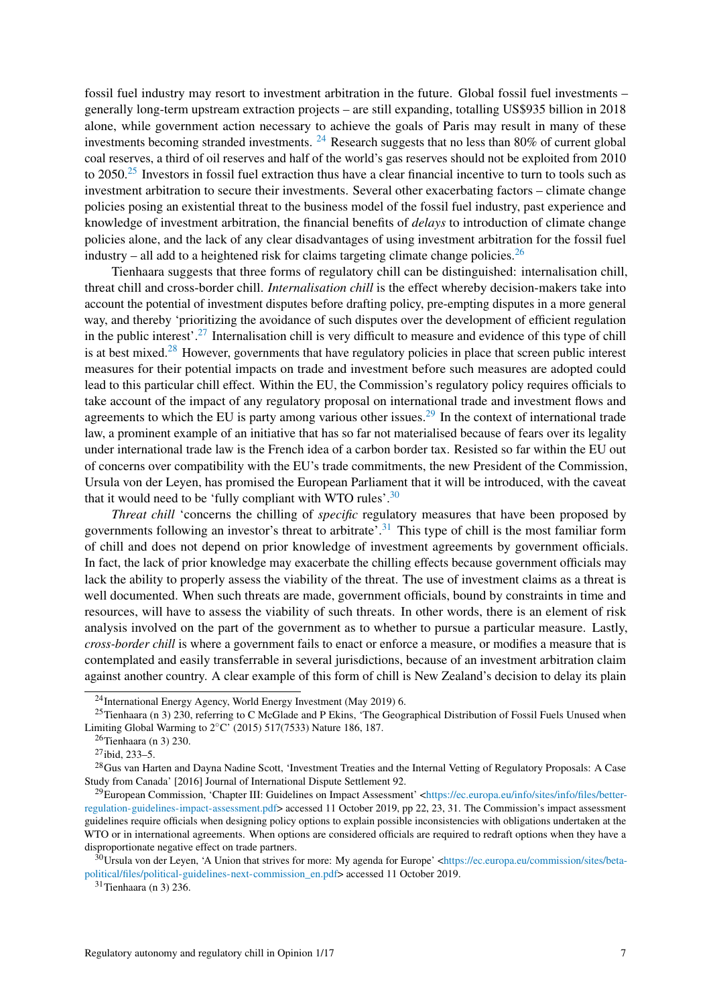fossil fuel industry may resort to investment arbitration in the future. Global fossil fuel investments – generally long-term upstream extraction projects – are still expanding, totalling US\$935 billion in 2018 alone, while government action necessary to achieve the goals of Paris may result in many of these investments becoming stranded investments. [24](#page-7-0) Research suggests that no less than 80% of current global coal reserves, a third of oil reserves and half of the world's gas reserves should not be exploited from 2010 to 2050.<sup>[25](#page-7-1)</sup> Investors in fossil fuel extraction thus have a clear financial incentive to turn to tools such as investment arbitration to secure their investments. Several other exacerbating factors – climate change policies posing an existential threat to the business model of the fossil fuel industry, past experience and knowledge of investment arbitration, the financial benefits of *delays* to introduction of climate change policies alone, and the lack of any clear disadvantages of using investment arbitration for the fossil fuel industry – all add to a heightened risk for claims targeting climate change policies.<sup>[26](#page-7-2)</sup>

Tienhaara suggests that three forms of regulatory chill can be distinguished: internalisation chill, threat chill and cross-border chill. *Internalisation chill* is the effect whereby decision-makers take into account the potential of investment disputes before drafting policy, pre-empting disputes in a more general way, and thereby 'prioritizing the avoidance of such disputes over the development of efficient regulation in the public interest'.[27](#page-7-3) Internalisation chill is very difficult to measure and evidence of this type of chill is at best mixed.<sup>[28](#page-7-4)</sup> However, governments that have regulatory policies in place that screen public interest measures for their potential impacts on trade and investment before such measures are adopted could lead to this particular chill effect. Within the EU, the Commission's regulatory policy requires officials to take account of the impact of any regulatory proposal on international trade and investment flows and agreements to which the EU is party among various other issues.<sup>[29](#page-7-5)</sup> In the context of international trade law, a prominent example of an initiative that has so far not materialised because of fears over its legality under international trade law is the French idea of a carbon border tax. Resisted so far within the EU out of concerns over compatibility with the EU's trade commitments, the new President of the Commission, Ursula von der Leyen, has promised the European Parliament that it will be introduced, with the caveat that it would need to be 'fully compliant with WTO rules'.[30](#page-7-6)

*Threat chill* 'concerns the chilling of *specific* regulatory measures that have been proposed by governments following an investor's threat to arbitrate'.<sup>[31](#page-7-7)</sup> This type of chill is the most familiar form of chill and does not depend on prior knowledge of investment agreements by government officials. In fact, the lack of prior knowledge may exacerbate the chilling effects because government officials may lack the ability to properly assess the viability of the threat. The use of investment claims as a threat is well documented. When such threats are made, government officials, bound by constraints in time and resources, will have to assess the viability of such threats. In other words, there is an element of risk analysis involved on the part of the government as to whether to pursue a particular measure. Lastly, *cross-border chill* is where a government fails to enact or enforce a measure, or modifies a measure that is contemplated and easily transferrable in several jurisdictions, because of an investment arbitration claim against another country. A clear example of this form of chill is New Zealand's decision to delay its plain

<span id="page-7-1"></span><span id="page-7-0"></span><sup>24</sup>International Energy Agency, World Energy Investment (May 2019) 6.

<sup>&</sup>lt;sup>25</sup>Tienhaara (n 3) 230, referring to C McGlade and P Ekins, 'The Geographical Distribution of Fossil Fuels Unused when Limiting Global Warming to 2◦C' (2015) 517(7533) Nature 186, 187.

<span id="page-7-2"></span> $26$ Tienhaara (n 3) 230.

<span id="page-7-4"></span><span id="page-7-3"></span><sup>27</sup>ibid, 233–5.

<sup>&</sup>lt;sup>28</sup>Gus van Harten and Dayna Nadine Scott, 'Investment Treaties and the Internal Vetting of Regulatory Proposals: A Case Study from Canada' [2016] Journal of International Dispute Settlement 92.

<span id="page-7-5"></span><sup>&</sup>lt;sup>29</sup>European Commission, 'Chapter III: Guidelines on Impact Assessment' [<https://ec.europa.eu/info/sites/info/files/better](https://ec.europa.eu/info/sites/info/files/better-regulation-guidelines-impact-assessment.pdf)[regulation-guidelines-impact-assessment.pdf>](https://ec.europa.eu/info/sites/info/files/better-regulation-guidelines-impact-assessment.pdf) accessed 11 October 2019, pp 22, 23, 31. The Commission's impact assessment guidelines require officials when designing policy options to explain possible inconsistencies with obligations undertaken at the WTO or in international agreements. When options are considered officials are required to redraft options when they have a disproportionate negative effect on trade partners.

<span id="page-7-6"></span><sup>30</sup>Ursula von der Leyen, 'A Union that strives for more: My agenda for Europe' [<https://ec.europa.eu/commission/sites/beta](https://ec.europa.eu/commission/sites/beta-political/files/political-guidelines-next-commission_en.pdf)[political/files/political-guidelines-next-commission\\_en.pdf>](https://ec.europa.eu/commission/sites/beta-political/files/political-guidelines-next-commission_en.pdf) accessed 11 October 2019.

<span id="page-7-7"></span> $31$ Tienhaara (n 3) 236.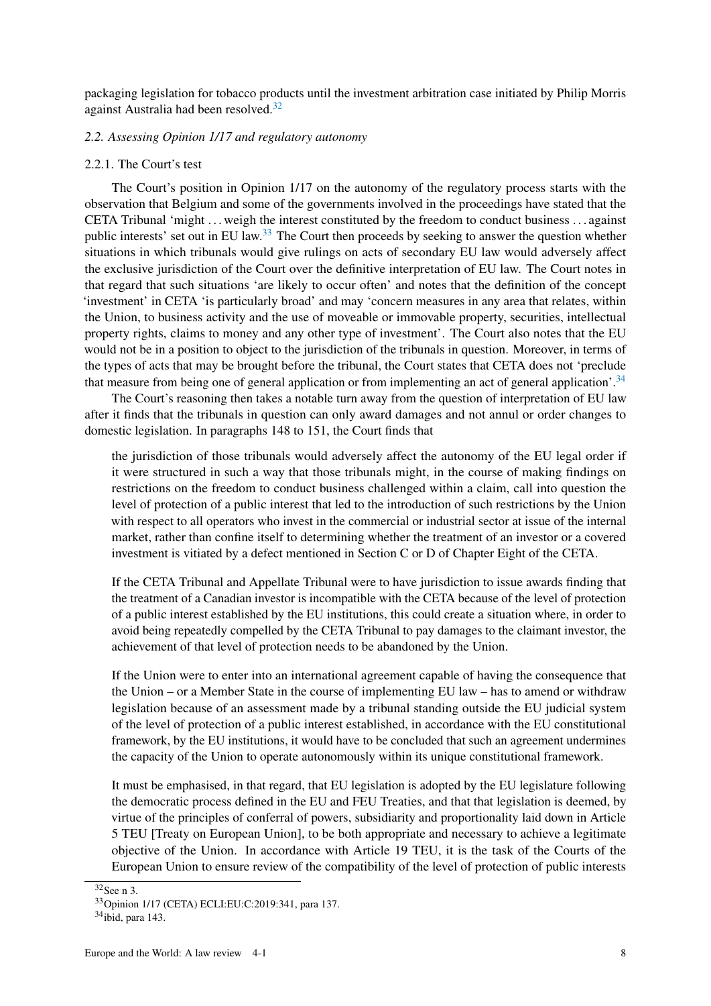packaging legislation for tobacco products until the investment arbitration case initiated by Philip Morris against Australia had been resolved.[32](#page-8-0)

# *2.2. Assessing Opinion 1/17 and regulatory autonomy*

#### 2.2.1. The Court's test

The Court's position in Opinion 1/17 on the autonomy of the regulatory process starts with the observation that Belgium and some of the governments involved in the proceedings have stated that the CETA Tribunal 'might . . . weigh the interest constituted by the freedom to conduct business . . . against public interests' set out in EU law.<sup>[33](#page-8-1)</sup> The Court then proceeds by seeking to answer the question whether situations in which tribunals would give rulings on acts of secondary EU law would adversely affect the exclusive jurisdiction of the Court over the definitive interpretation of EU law. The Court notes in that regard that such situations 'are likely to occur often' and notes that the definition of the concept 'investment' in CETA 'is particularly broad' and may 'concern measures in any area that relates, within the Union, to business activity and the use of moveable or immovable property, securities, intellectual property rights, claims to money and any other type of investment'. The Court also notes that the EU would not be in a position to object to the jurisdiction of the tribunals in question. Moreover, in terms of the types of acts that may be brought before the tribunal, the Court states that CETA does not 'preclude that measure from being one of general application or from implementing an act of general application'.[34](#page-8-2)

The Court's reasoning then takes a notable turn away from the question of interpretation of EU law after it finds that the tribunals in question can only award damages and not annul or order changes to domestic legislation. In paragraphs 148 to 151, the Court finds that

the jurisdiction of those tribunals would adversely affect the autonomy of the EU legal order if it were structured in such a way that those tribunals might, in the course of making findings on restrictions on the freedom to conduct business challenged within a claim, call into question the level of protection of a public interest that led to the introduction of such restrictions by the Union with respect to all operators who invest in the commercial or industrial sector at issue of the internal market, rather than confine itself to determining whether the treatment of an investor or a covered investment is vitiated by a defect mentioned in Section C or D of Chapter Eight of the CETA.

If the CETA Tribunal and Appellate Tribunal were to have jurisdiction to issue awards finding that the treatment of a Canadian investor is incompatible with the CETA because of the level of protection of a public interest established by the EU institutions, this could create a situation where, in order to avoid being repeatedly compelled by the CETA Tribunal to pay damages to the claimant investor, the achievement of that level of protection needs to be abandoned by the Union.

If the Union were to enter into an international agreement capable of having the consequence that the Union – or a Member State in the course of implementing EU law – has to amend or withdraw legislation because of an assessment made by a tribunal standing outside the EU judicial system of the level of protection of a public interest established, in accordance with the EU constitutional framework, by the EU institutions, it would have to be concluded that such an agreement undermines the capacity of the Union to operate autonomously within its unique constitutional framework.

It must be emphasised, in that regard, that EU legislation is adopted by the EU legislature following the democratic process defined in the EU and FEU Treaties, and that that legislation is deemed, by virtue of the principles of conferral of powers, subsidiarity and proportionality laid down in Article 5 TEU [Treaty on European Union], to be both appropriate and necessary to achieve a legitimate objective of the Union. In accordance with Article 19 TEU, it is the task of the Courts of the European Union to ensure review of the compatibility of the level of protection of public interests

<span id="page-8-0"></span><sup>32</sup>See n 3.

<span id="page-8-1"></span><sup>33</sup>Opinion 1/17 (CETA) ECLI:EU:C:2019:341, para 137.

<span id="page-8-2"></span><sup>34</sup>ibid, para 143.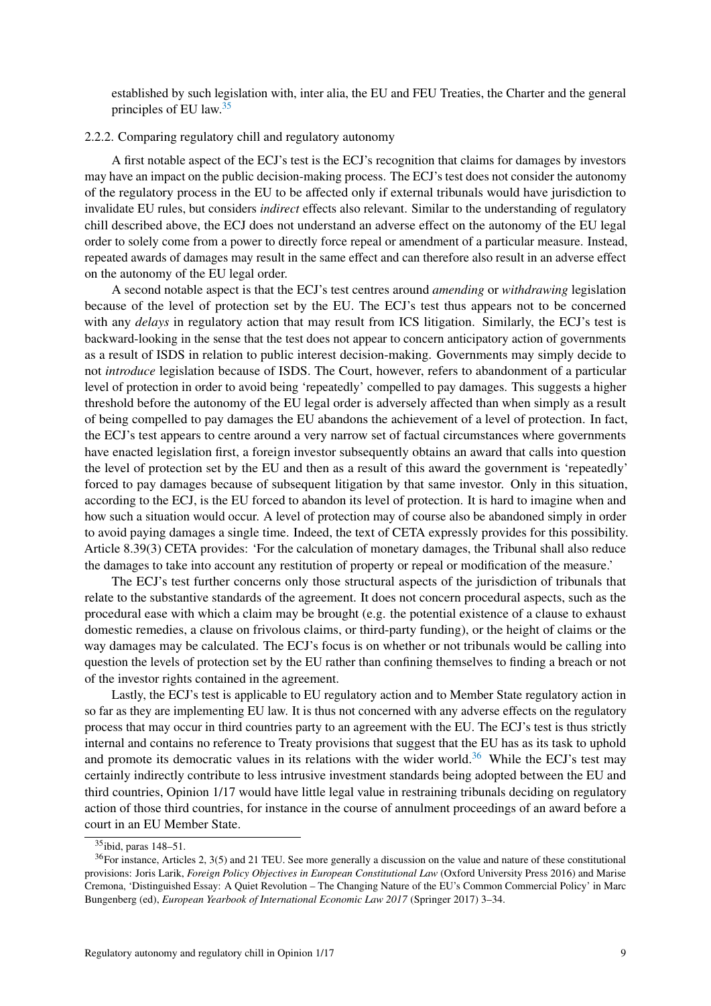established by such legislation with, inter alia, the EU and FEU Treaties, the Charter and the general principles of EU law.[35](#page-9-0)

# 2.2.2. Comparing regulatory chill and regulatory autonomy

A first notable aspect of the ECJ's test is the ECJ's recognition that claims for damages by investors may have an impact on the public decision-making process. The ECJ's test does not consider the autonomy of the regulatory process in the EU to be affected only if external tribunals would have jurisdiction to invalidate EU rules, but considers *indirect* effects also relevant. Similar to the understanding of regulatory chill described above, the ECJ does not understand an adverse effect on the autonomy of the EU legal order to solely come from a power to directly force repeal or amendment of a particular measure. Instead, repeated awards of damages may result in the same effect and can therefore also result in an adverse effect on the autonomy of the EU legal order.

A second notable aspect is that the ECJ's test centres around *amending* or *withdrawing* legislation because of the level of protection set by the EU. The ECJ's test thus appears not to be concerned with any *delays* in regulatory action that may result from ICS litigation. Similarly, the ECJ's test is backward-looking in the sense that the test does not appear to concern anticipatory action of governments as a result of ISDS in relation to public interest decision-making. Governments may simply decide to not *introduce* legislation because of ISDS. The Court, however, refers to abandonment of a particular level of protection in order to avoid being 'repeatedly' compelled to pay damages. This suggests a higher threshold before the autonomy of the EU legal order is adversely affected than when simply as a result of being compelled to pay damages the EU abandons the achievement of a level of protection. In fact, the ECJ's test appears to centre around a very narrow set of factual circumstances where governments have enacted legislation first, a foreign investor subsequently obtains an award that calls into question the level of protection set by the EU and then as a result of this award the government is 'repeatedly' forced to pay damages because of subsequent litigation by that same investor. Only in this situation, according to the ECJ, is the EU forced to abandon its level of protection. It is hard to imagine when and how such a situation would occur. A level of protection may of course also be abandoned simply in order to avoid paying damages a single time. Indeed, the text of CETA expressly provides for this possibility. Article 8.39(3) CETA provides: 'For the calculation of monetary damages, the Tribunal shall also reduce the damages to take into account any restitution of property or repeal or modification of the measure.'

The ECJ's test further concerns only those structural aspects of the jurisdiction of tribunals that relate to the substantive standards of the agreement. It does not concern procedural aspects, such as the procedural ease with which a claim may be brought (e.g. the potential existence of a clause to exhaust domestic remedies, a clause on frivolous claims, or third-party funding), or the height of claims or the way damages may be calculated. The ECJ's focus is on whether or not tribunals would be calling into question the levels of protection set by the EU rather than confining themselves to finding a breach or not of the investor rights contained in the agreement.

Lastly, the ECJ's test is applicable to EU regulatory action and to Member State regulatory action in so far as they are implementing EU law. It is thus not concerned with any adverse effects on the regulatory process that may occur in third countries party to an agreement with the EU. The ECJ's test is thus strictly internal and contains no reference to Treaty provisions that suggest that the EU has as its task to uphold and promote its democratic values in its relations with the wider world.<sup>[36](#page-9-1)</sup> While the ECJ's test may certainly indirectly contribute to less intrusive investment standards being adopted between the EU and third countries, Opinion 1/17 would have little legal value in restraining tribunals deciding on regulatory action of those third countries, for instance in the course of annulment proceedings of an award before a court in an EU Member State.

<span id="page-9-1"></span><span id="page-9-0"></span><sup>35</sup>ibid, paras 148–51.

 $36$  For instance, Articles 2, 3(5) and 21 TEU. See more generally a discussion on the value and nature of these constitutional provisions: Joris Larik, *Foreign Policy Objectives in European Constitutional Law* (Oxford University Press 2016) and Marise Cremona, 'Distinguished Essay: A Quiet Revolution – The Changing Nature of the EU's Common Commercial Policy' in Marc Bungenberg (ed), *European Yearbook of International Economic Law 2017* (Springer 2017) 3–34.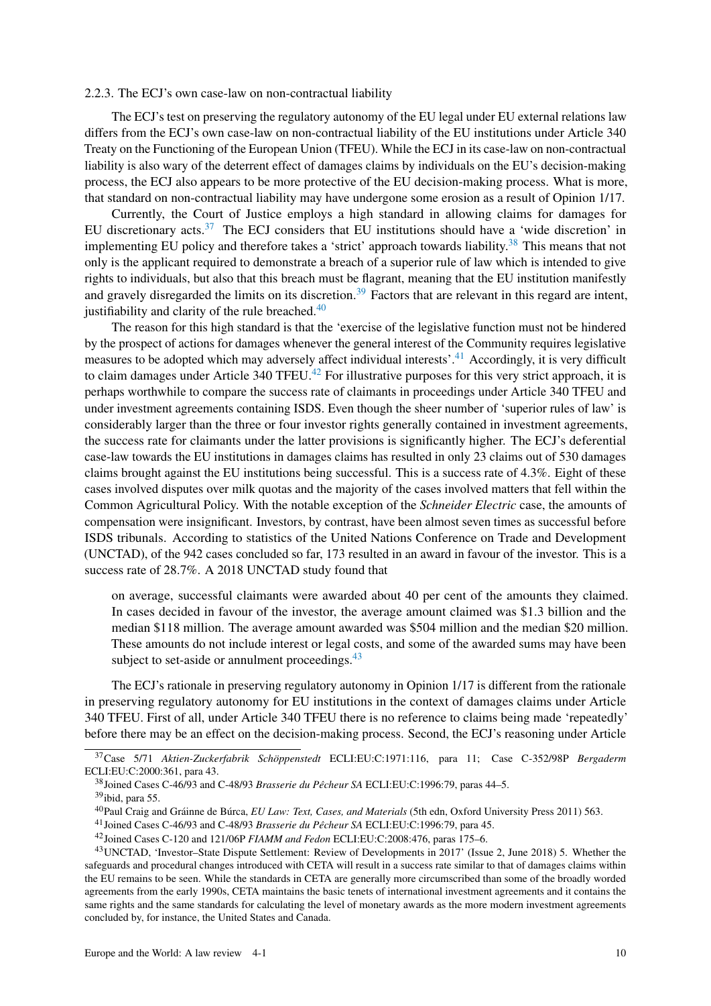#### 2.2.3. The ECJ's own case-law on non-contractual liability

The ECJ's test on preserving the regulatory autonomy of the EU legal under EU external relations law differs from the ECJ's own case-law on non-contractual liability of the EU institutions under Article 340 Treaty on the Functioning of the European Union (TFEU). While the ECJ in its case-law on non-contractual liability is also wary of the deterrent effect of damages claims by individuals on the EU's decision-making process, the ECJ also appears to be more protective of the EU decision-making process. What is more, that standard on non-contractual liability may have undergone some erosion as a result of Opinion 1/17.

Currently, the Court of Justice employs a high standard in allowing claims for damages for EU discretionary acts.<sup>[37](#page-10-0)</sup> The ECJ considers that EU institutions should have a 'wide discretion' in implementing EU policy and therefore takes a 'strict' approach towards liability.<sup>[38](#page-10-1)</sup> This means that not only is the applicant required to demonstrate a breach of a superior rule of law which is intended to give rights to individuals, but also that this breach must be flagrant, meaning that the EU institution manifestly and gravely disregarded the limits on its discretion.<sup>[39](#page-10-2)</sup> Factors that are relevant in this regard are intent, justifiability and clarity of the rule breached. $40$ 

The reason for this high standard is that the 'exercise of the legislative function must not be hindered by the prospect of actions for damages whenever the general interest of the Community requires legislative measures to be adopted which may adversely affect individual interests'.<sup>[41](#page-10-4)</sup> Accordingly, it is very difficult to claim damages under Article 340 TFEU.<sup>[42](#page-10-5)</sup> For illustrative purposes for this very strict approach, it is perhaps worthwhile to compare the success rate of claimants in proceedings under Article 340 TFEU and under investment agreements containing ISDS. Even though the sheer number of 'superior rules of law' is considerably larger than the three or four investor rights generally contained in investment agreements, the success rate for claimants under the latter provisions is significantly higher. The ECJ's deferential case-law towards the EU institutions in damages claims has resulted in only 23 claims out of 530 damages claims brought against the EU institutions being successful. This is a success rate of 4.3%. Eight of these cases involved disputes over milk quotas and the majority of the cases involved matters that fell within the Common Agricultural Policy. With the notable exception of the *Schneider Electric* case, the amounts of compensation were insignificant. Investors, by contrast, have been almost seven times as successful before ISDS tribunals. According to statistics of the United Nations Conference on Trade and Development (UNCTAD), of the 942 cases concluded so far, 173 resulted in an award in favour of the investor. This is a success rate of 28.7%. A 2018 UNCTAD study found that

on average, successful claimants were awarded about 40 per cent of the amounts they claimed. In cases decided in favour of the investor, the average amount claimed was \$1.3 billion and the median \$118 million. The average amount awarded was \$504 million and the median \$20 million. These amounts do not include interest or legal costs, and some of the awarded sums may have been subject to set-aside or annulment proceedings.<sup>[43](#page-10-6)</sup>

The ECJ's rationale in preserving regulatory autonomy in Opinion 1/17 is different from the rationale in preserving regulatory autonomy for EU institutions in the context of damages claims under Article 340 TFEU. First of all, under Article 340 TFEU there is no reference to claims being made 'repeatedly' before there may be an effect on the decision-making process. Second, the ECJ's reasoning under Article

<span id="page-10-6"></span><span id="page-10-5"></span><sup>42</sup>Joined Cases C-120 and 121/06P *FIAMM and Fedon* ECLI:EU:C:2008:476, paras 175–6.

<span id="page-10-0"></span><sup>37</sup>Case 5/71 *Aktien-Zuckerfabrik Schöppenstedt* ECLI:EU:C:1971:116, para 11; Case C-352/98P *Bergaderm* ECLI:EU:C:2000:361, para 43.

<span id="page-10-1"></span><sup>38</sup>Joined Cases C-46/93 and C-48/93 *Brasserie du Pêcheur SA* ECLI:EU:C:1996:79, paras 44–5.

<span id="page-10-2"></span><sup>39</sup>ibid, para 55.

<span id="page-10-3"></span><sup>40</sup>Paul Craig and Gráinne de Búrca, *EU Law: Text, Cases, and Materials* (5th edn, Oxford University Press 2011) 563.

<span id="page-10-4"></span><sup>41</sup>Joined Cases C-46/93 and C-48/93 *Brasserie du Pêcheur SA* ECLI:EU:C:1996:79, para 45.

<sup>43</sup>UNCTAD, 'Investor–State Dispute Settlement: Review of Developments in 2017' (Issue 2, June 2018) 5. Whether the safeguards and procedural changes introduced with CETA will result in a success rate similar to that of damages claims within the EU remains to be seen. While the standards in CETA are generally more circumscribed than some of the broadly worded agreements from the early 1990s, CETA maintains the basic tenets of international investment agreements and it contains the same rights and the same standards for calculating the level of monetary awards as the more modern investment agreements concluded by, for instance, the United States and Canada.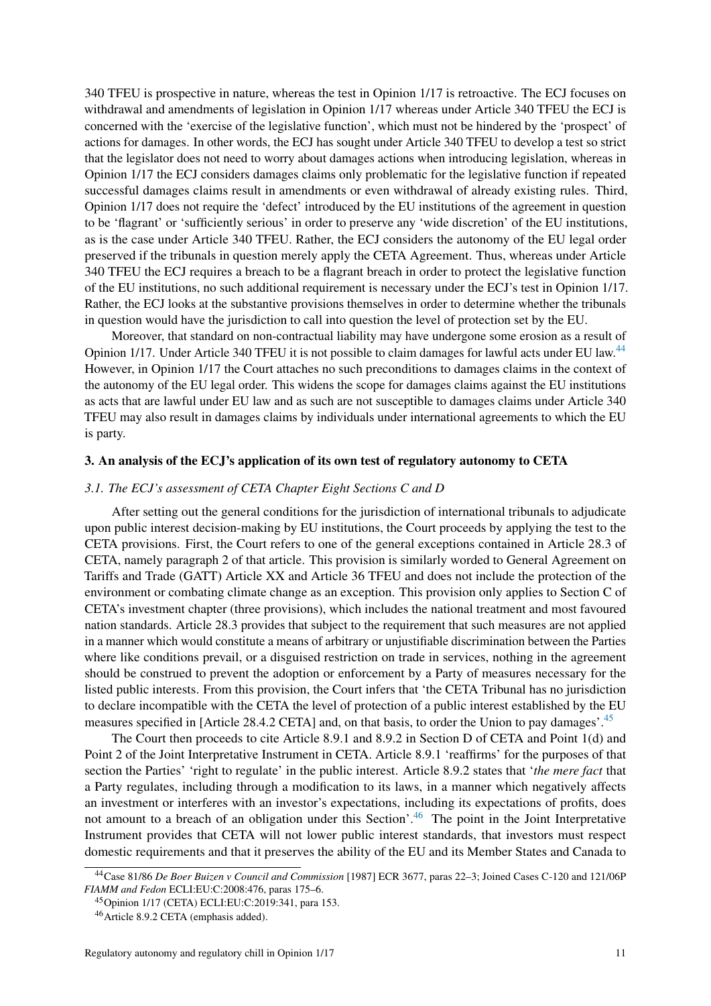340 TFEU is prospective in nature, whereas the test in Opinion 1/17 is retroactive. The ECJ focuses on withdrawal and amendments of legislation in Opinion 1/17 whereas under Article 340 TFEU the ECJ is concerned with the 'exercise of the legislative function', which must not be hindered by the 'prospect' of actions for damages. In other words, the ECJ has sought under Article 340 TFEU to develop a test so strict that the legislator does not need to worry about damages actions when introducing legislation, whereas in Opinion 1/17 the ECJ considers damages claims only problematic for the legislative function if repeated successful damages claims result in amendments or even withdrawal of already existing rules. Third, Opinion 1/17 does not require the 'defect' introduced by the EU institutions of the agreement in question to be 'flagrant' or 'sufficiently serious' in order to preserve any 'wide discretion' of the EU institutions, as is the case under Article 340 TFEU. Rather, the ECJ considers the autonomy of the EU legal order preserved if the tribunals in question merely apply the CETA Agreement. Thus, whereas under Article 340 TFEU the ECJ requires a breach to be a flagrant breach in order to protect the legislative function of the EU institutions, no such additional requirement is necessary under the ECJ's test in Opinion 1/17. Rather, the ECJ looks at the substantive provisions themselves in order to determine whether the tribunals in question would have the jurisdiction to call into question the level of protection set by the EU.

Moreover, that standard on non-contractual liability may have undergone some erosion as a result of Opinion 1/17. Under Article 340 TFEU it is not possible to claim damages for lawful acts under EU law.[44](#page-11-0) However, in Opinion 1/17 the Court attaches no such preconditions to damages claims in the context of the autonomy of the EU legal order. This widens the scope for damages claims against the EU institutions as acts that are lawful under EU law and as such are not susceptible to damages claims under Article 340 TFEU may also result in damages claims by individuals under international agreements to which the EU is party.

# 3. An analysis of the ECJ's application of its own test of regulatory autonomy to CETA

### *3.1. The ECJ's assessment of CETA Chapter Eight Sections C and D*

After setting out the general conditions for the jurisdiction of international tribunals to adjudicate upon public interest decision-making by EU institutions, the Court proceeds by applying the test to the CETA provisions. First, the Court refers to one of the general exceptions contained in Article 28.3 of CETA, namely paragraph 2 of that article. This provision is similarly worded to General Agreement on Tariffs and Trade (GATT) Article XX and Article 36 TFEU and does not include the protection of the environment or combating climate change as an exception. This provision only applies to Section C of CETA's investment chapter (three provisions), which includes the national treatment and most favoured nation standards. Article 28.3 provides that subject to the requirement that such measures are not applied in a manner which would constitute a means of arbitrary or unjustifiable discrimination between the Parties where like conditions prevail, or a disguised restriction on trade in services, nothing in the agreement should be construed to prevent the adoption or enforcement by a Party of measures necessary for the listed public interests. From this provision, the Court infers that 'the CETA Tribunal has no jurisdiction to declare incompatible with the CETA the level of protection of a public interest established by the EU measures specified in [Article 28.4.2 CETA] and, on that basis, to order the Union to pay damages'.<sup>[45](#page-11-1)</sup>

The Court then proceeds to cite Article 8.9.1 and 8.9.2 in Section D of CETA and Point 1(d) and Point 2 of the Joint Interpretative Instrument in CETA. Article 8.9.1 'reaffirms' for the purposes of that section the Parties' 'right to regulate' in the public interest. Article 8.9.2 states that '*the mere fact* that a Party regulates, including through a modification to its laws, in a manner which negatively affects an investment or interferes with an investor's expectations, including its expectations of profits, does not amount to a breach of an obligation under this Section'.<sup>[46](#page-11-2)</sup> The point in the Joint Interpretative Instrument provides that CETA will not lower public interest standards, that investors must respect domestic requirements and that it preserves the ability of the EU and its Member States and Canada to

<span id="page-11-0"></span><sup>44</sup>Case 81/86 *De Boer Buizen v Council and Commission* [1987] ECR 3677, paras 22–3; Joined Cases C-120 and 121/06P *FIAMM and Fedon* ECLI:EU:C:2008:476, paras 175–6.

<span id="page-11-1"></span><sup>45</sup>Opinion 1/17 (CETA) ECLI:EU:C:2019:341, para 153.

<span id="page-11-2"></span><sup>46</sup>Article 8.9.2 CETA (emphasis added).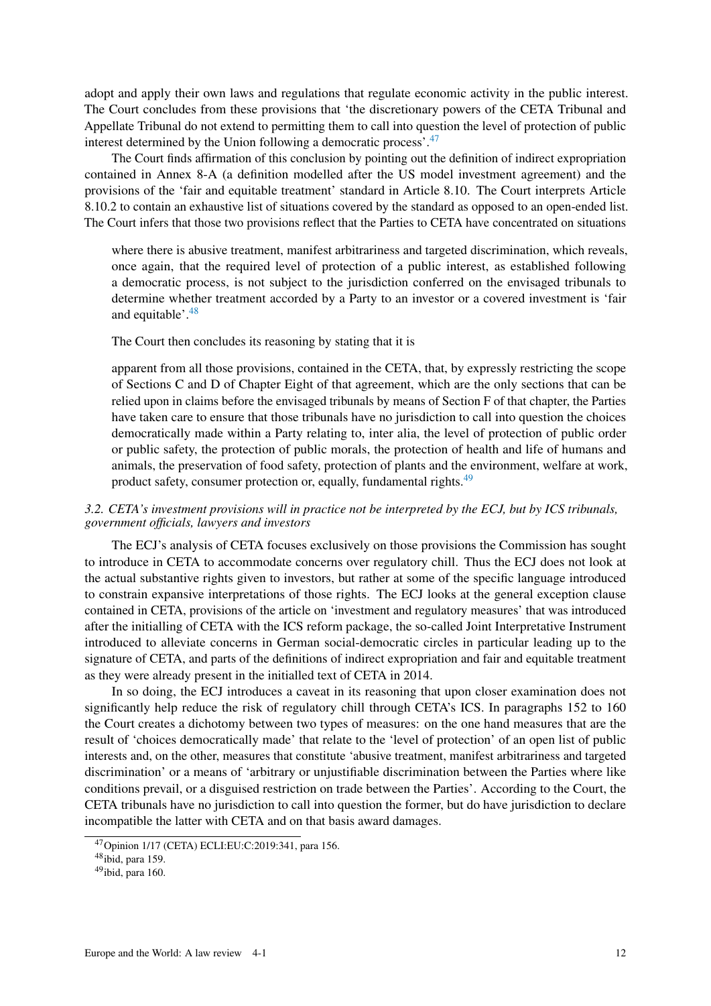adopt and apply their own laws and regulations that regulate economic activity in the public interest. The Court concludes from these provisions that 'the discretionary powers of the CETA Tribunal and Appellate Tribunal do not extend to permitting them to call into question the level of protection of public interest determined by the Union following a democratic process'.[47](#page-12-0)

The Court finds affirmation of this conclusion by pointing out the definition of indirect expropriation contained in Annex 8-A (a definition modelled after the US model investment agreement) and the provisions of the 'fair and equitable treatment' standard in Article 8.10. The Court interprets Article 8.10.2 to contain an exhaustive list of situations covered by the standard as opposed to an open-ended list. The Court infers that those two provisions reflect that the Parties to CETA have concentrated on situations

where there is abusive treatment, manifest arbitrariness and targeted discrimination, which reveals, once again, that the required level of protection of a public interest, as established following a democratic process, is not subject to the jurisdiction conferred on the envisaged tribunals to determine whether treatment accorded by a Party to an investor or a covered investment is 'fair and equitable'.<sup>[48](#page-12-1)</sup>

The Court then concludes its reasoning by stating that it is

apparent from all those provisions, contained in the CETA, that, by expressly restricting the scope of Sections C and D of Chapter Eight of that agreement, which are the only sections that can be relied upon in claims before the envisaged tribunals by means of Section F of that chapter, the Parties have taken care to ensure that those tribunals have no jurisdiction to call into question the choices democratically made within a Party relating to, inter alia, the level of protection of public order or public safety, the protection of public morals, the protection of health and life of humans and animals, the preservation of food safety, protection of plants and the environment, welfare at work, product safety, consumer protection or, equally, fundamental rights.<sup>[49](#page-12-2)</sup>

# *3.2. CETA's investment provisions will in practice not be interpreted by the ECJ, but by ICS tribunals, government officials, lawyers and investors*

The ECJ's analysis of CETA focuses exclusively on those provisions the Commission has sought to introduce in CETA to accommodate concerns over regulatory chill. Thus the ECJ does not look at the actual substantive rights given to investors, but rather at some of the specific language introduced to constrain expansive interpretations of those rights. The ECJ looks at the general exception clause contained in CETA, provisions of the article on 'investment and regulatory measures' that was introduced after the initialling of CETA with the ICS reform package, the so-called Joint Interpretative Instrument introduced to alleviate concerns in German social-democratic circles in particular leading up to the signature of CETA, and parts of the definitions of indirect expropriation and fair and equitable treatment as they were already present in the initialled text of CETA in 2014.

In so doing, the ECJ introduces a caveat in its reasoning that upon closer examination does not significantly help reduce the risk of regulatory chill through CETA's ICS. In paragraphs 152 to 160 the Court creates a dichotomy between two types of measures: on the one hand measures that are the result of 'choices democratically made' that relate to the 'level of protection' of an open list of public interests and, on the other, measures that constitute 'abusive treatment, manifest arbitrariness and targeted discrimination' or a means of 'arbitrary or unjustifiable discrimination between the Parties where like conditions prevail, or a disguised restriction on trade between the Parties'. According to the Court, the CETA tribunals have no jurisdiction to call into question the former, but do have jurisdiction to declare incompatible the latter with CETA and on that basis award damages.

<span id="page-12-0"></span><sup>47</sup>Opinion 1/17 (CETA) ECLI:EU:C:2019:341, para 156.

<span id="page-12-1"></span> $48$ ibid, para 159.

<span id="page-12-2"></span> $49$ ibid, para 160.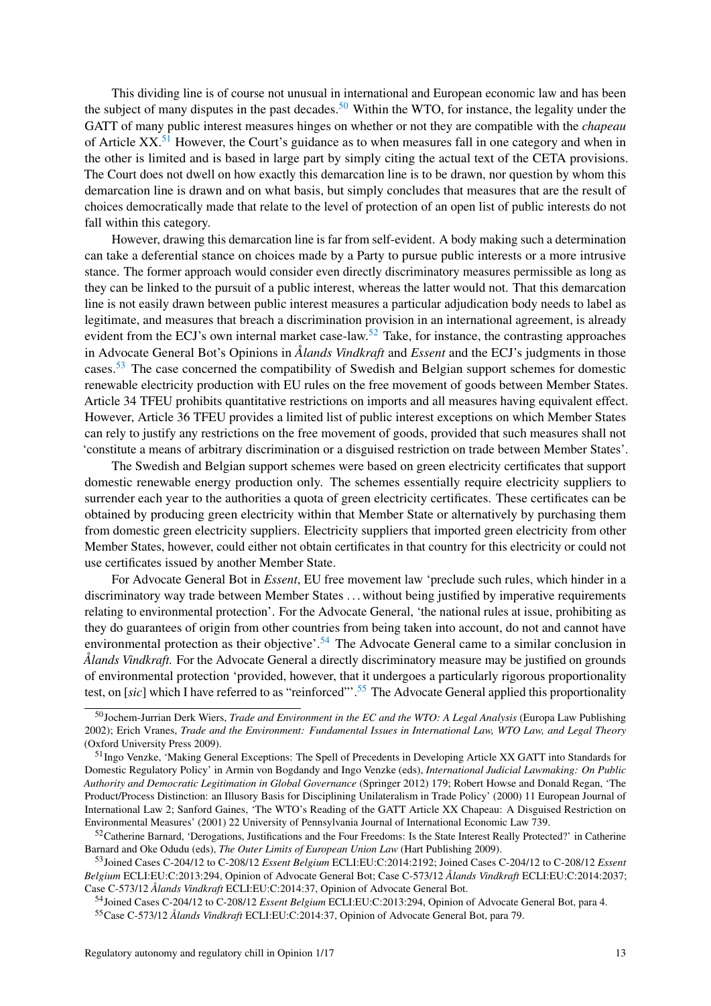This dividing line is of course not unusual in international and European economic law and has been the subject of many disputes in the past decades.<sup>[50](#page-13-0)</sup> Within the WTO, for instance, the legality under the GATT of many public interest measures hinges on whether or not they are compatible with the *chapeau* of Article XX.<sup>[51](#page-13-1)</sup> However, the Court's guidance as to when measures fall in one category and when in the other is limited and is based in large part by simply citing the actual text of the CETA provisions. The Court does not dwell on how exactly this demarcation line is to be drawn, nor question by whom this demarcation line is drawn and on what basis, but simply concludes that measures that are the result of choices democratically made that relate to the level of protection of an open list of public interests do not fall within this category.

However, drawing this demarcation line is far from self-evident. A body making such a determination can take a deferential stance on choices made by a Party to pursue public interests or a more intrusive stance. The former approach would consider even directly discriminatory measures permissible as long as they can be linked to the pursuit of a public interest, whereas the latter would not. That this demarcation line is not easily drawn between public interest measures a particular adjudication body needs to label as legitimate, and measures that breach a discrimination provision in an international agreement, is already evident from the ECJ's own internal market case-law.<sup>[52](#page-13-2)</sup> Take, for instance, the contrasting approaches in Advocate General Bot's Opinions in *Ålands Vindkraft* and *Essent* and the ECJ's judgments in those cases.[53](#page-13-3) The case concerned the compatibility of Swedish and Belgian support schemes for domestic renewable electricity production with EU rules on the free movement of goods between Member States. Article 34 TFEU prohibits quantitative restrictions on imports and all measures having equivalent effect. However, Article 36 TFEU provides a limited list of public interest exceptions on which Member States can rely to justify any restrictions on the free movement of goods, provided that such measures shall not 'constitute a means of arbitrary discrimination or a disguised restriction on trade between Member States'.

The Swedish and Belgian support schemes were based on green electricity certificates that support domestic renewable energy production only. The schemes essentially require electricity suppliers to surrender each year to the authorities a quota of green electricity certificates. These certificates can be obtained by producing green electricity within that Member State or alternatively by purchasing them from domestic green electricity suppliers. Electricity suppliers that imported green electricity from other Member States, however, could either not obtain certificates in that country for this electricity or could not use certificates issued by another Member State.

For Advocate General Bot in *Essent*, EU free movement law 'preclude such rules, which hinder in a discriminatory way trade between Member States . . . without being justified by imperative requirements relating to environmental protection'. For the Advocate General, 'the national rules at issue, prohibiting as they do guarantees of origin from other countries from being taken into account, do not and cannot have environmental protection as their objective'.<sup>[54](#page-13-4)</sup> The Advocate General came to a similar conclusion in *Ålands Vindkraft.* For the Advocate General a directly discriminatory measure may be justified on grounds of environmental protection 'provided, however, that it undergoes a particularly rigorous proportionality test, on [*sic*] which I have referred to as "reinforced"<sup>[55](#page-13-5)</sup>. The Advocate General applied this proportionality

<span id="page-13-0"></span><sup>50</sup>Jochem-Jurrian Derk Wiers, *Trade and Environment in the EC and the WTO: A Legal Analysis* (Europa Law Publishing 2002); Erich Vranes, *Trade and the Environment: Fundamental Issues in International Law, WTO Law, and Legal Theory* (Oxford University Press 2009).

<span id="page-13-1"></span><sup>51</sup>Ingo Venzke, 'Making General Exceptions: The Spell of Precedents in Developing Article XX GATT into Standards for Domestic Regulatory Policy' in Armin von Bogdandy and Ingo Venzke (eds), *International Judicial Lawmaking: On Public Authority and Democratic Legitimation in Global Governance* (Springer 2012) 179; Robert Howse and Donald Regan, 'The Product/Process Distinction: an Illusory Basis for Disciplining Unilateralism in Trade Policy' (2000) 11 European Journal of International Law 2; Sanford Gaines, 'The WTO's Reading of the GATT Article XX Chapeau: A Disguised Restriction on Environmental Measures' (2001) 22 University of Pennsylvania Journal of International Economic Law 739.

<span id="page-13-2"></span> $52$ Catherine Barnard, 'Derogations, Justifications and the Four Freedoms: Is the State Interest Really Protected?' in Catherine Barnard and Oke Odudu (eds), *The Outer Limits of European Union Law* (Hart Publishing 2009).

<span id="page-13-3"></span><sup>53</sup>Joined Cases C-204/12 to C-208/12 *Essent Belgium* ECLI:EU:C:2014:2192; Joined Cases C-204/12 to C-208/12 *Essent Belgium* ECLI:EU:C:2013:294, Opinion of Advocate General Bot; Case C-573/12 *Ålands Vindkraft* ECLI:EU:C:2014:2037; Case C-573/12 *Ålands Vindkraft* ECLI:EU:C:2014:37, Opinion of Advocate General Bot.

<span id="page-13-5"></span><span id="page-13-4"></span><sup>54</sup>Joined Cases C-204/12 to C-208/12 *Essent Belgium* ECLI:EU:C:2013:294, Opinion of Advocate General Bot, para 4. <sup>55</sup>Case C-573/12 *Ålands Vindkraft* ECLI:EU:C:2014:37, Opinion of Advocate General Bot, para 79.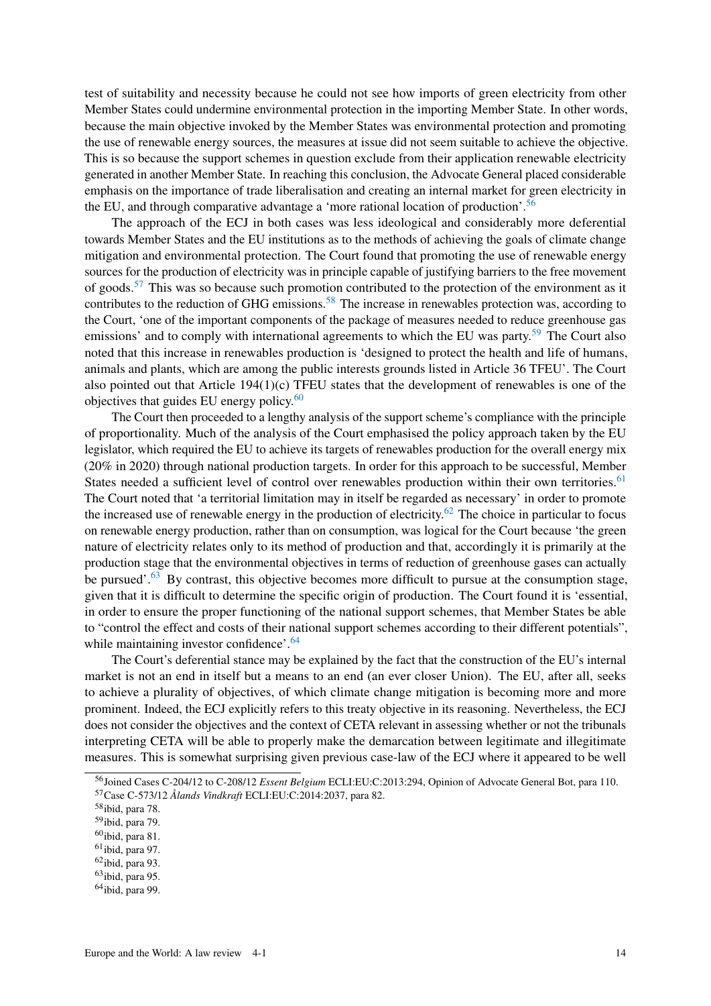test of suitability and necessity because he could not see how imports of green electricity from other Member States could undermine environmental protection in the importing Member State. In other words, because the main objective invoked by the Member States was environmental protection and promoting the use of renewable energy sources, the measures at issue did not seem suitable to achieve the objective. This is so because the support schemes in question exclude from their application renewable electricity generated in another Member State. In reaching this conclusion, the Advocate General placed considerable emphasis on the importance of trade liberalisation and creating an internal market for green electricity in the EU, and through comparative advantage a 'more rational location of production'.[56](#page-14-0)

The approach of the ECJ in both cases was less ideological and considerably more deferential towards Member States and the EU institutions as to the methods of achieving the goals of climate change mitigation and environmental protection. The Court found that promoting the use of renewable energy sources for the production of electricity was in principle capable of justifying barriers to the free movement of goods.<sup>[57](#page-14-1)</sup> This was so because such promotion contributed to the protection of the environment as it contributes to the reduction of GHG emissions.<sup>[58](#page-14-2)</sup> The increase in renewables protection was, according to the Court, 'one of the important components of the package of measures needed to reduce greenhouse gas emissions' and to comply with international agreements to which the EU was party.<sup>[59](#page-14-3)</sup> The Court also noted that this increase in renewables production is 'designed to protect the health and life of humans, animals and plants, which are among the public interests grounds listed in Article 36 TFEU'. The Court also pointed out that Article 194(1)(c) TFEU states that the development of renewables is one of the objectives that guides EU energy policy.<sup>[60](#page-14-4)</sup>

The Court then proceeded to a lengthy analysis of the support scheme's compliance with the principle of proportionality. Much of the analysis of the Court emphasised the policy approach taken by the EU legislator, which required the EU to achieve its targets of renewables production for the overall energy mix (20% in 2020) through national production targets. In order for this approach to be successful, Member States needed a sufficient level of control over renewables production within their own territories.<sup>[61](#page-14-5)</sup> The Court noted that 'a territorial limitation may in itself be regarded as necessary' in order to promote the increased use of renewable energy in the production of electricity.<sup>[62](#page-14-6)</sup> The choice in particular to focus on renewable energy production, rather than on consumption, was logical for the Court because 'the green nature of electricity relates only to its method of production and that, accordingly it is primarily at the production stage that the environmental objectives in terms of reduction of greenhouse gases can actually be pursued'.[63](#page-14-7) By contrast, this objective becomes more difficult to pursue at the consumption stage, given that it is difficult to determine the specific origin of production. The Court found it is 'essential, in order to ensure the proper functioning of the national support schemes, that Member States be able to "control the effect and costs of their national support schemes according to their different potentials", while maintaining investor confidence'.<sup>[64](#page-14-8)</sup>

The Court's deferential stance may be explained by the fact that the construction of the EU's internal market is not an end in itself but a means to an end (an ever closer Union). The EU, after all, seeks to achieve a plurality of objectives, of which climate change mitigation is becoming more and more prominent. Indeed, the ECJ explicitly refers to this treaty objective in its reasoning. Nevertheless, the ECJ does not consider the objectives and the context of CETA relevant in assessing whether or not the tribunals interpreting CETA will be able to properly make the demarcation between legitimate and illegitimate measures. This is somewhat surprising given previous case-law of the ECJ where it appeared to be well

<span id="page-14-1"></span><span id="page-14-0"></span><sup>56</sup>Joined Cases C-204/12 to C-208/12 *Essent Belgium* ECLI:EU:C:2013:294, Opinion of Advocate General Bot, para 110. <sup>57</sup>Case C-573/12 *Ålands Vindkraft* ECLI:EU:C:2014:2037, para 82.

<span id="page-14-2"></span><sup>58</sup>ibid, para 78.

<span id="page-14-3"></span><sup>59</sup>ibid, para 79.

<span id="page-14-4"></span> $60$ ibid, para 81.

<span id="page-14-5"></span> $61$ ibid, para 97.

<span id="page-14-6"></span> $62$ ibid, para 93.

<span id="page-14-7"></span><sup>63</sup>ibid, para 95.

<span id="page-14-8"></span><sup>64</sup>ibid, para 99.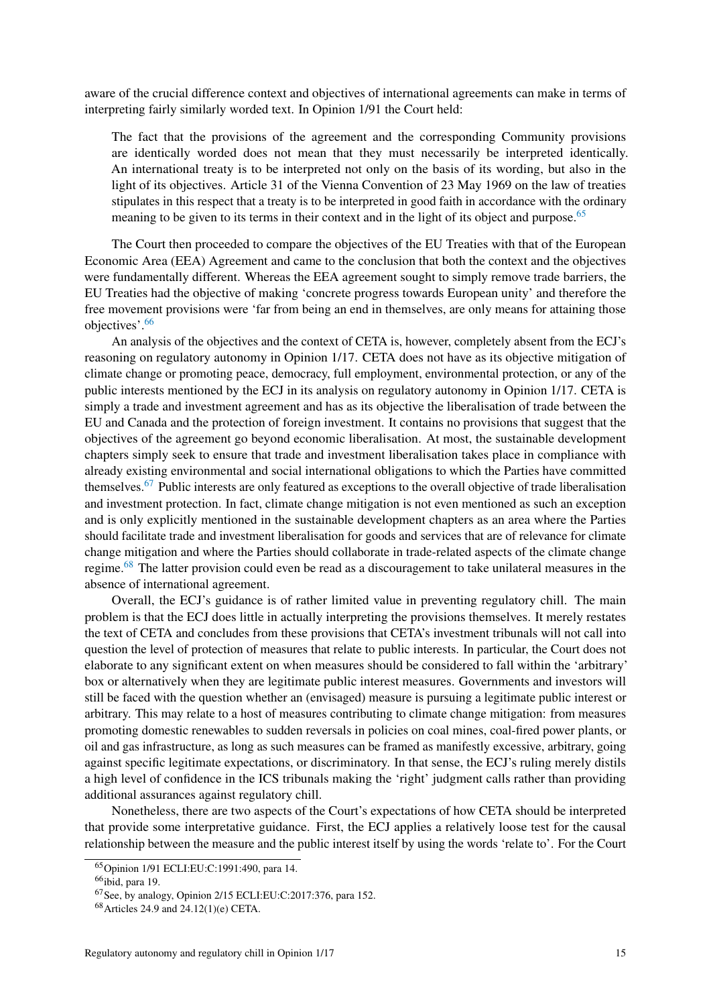aware of the crucial difference context and objectives of international agreements can make in terms of interpreting fairly similarly worded text. In Opinion 1/91 the Court held:

The fact that the provisions of the agreement and the corresponding Community provisions are identically worded does not mean that they must necessarily be interpreted identically. An international treaty is to be interpreted not only on the basis of its wording, but also in the light of its objectives. Article 31 of the Vienna Convention of 23 May 1969 on the law of treaties stipulates in this respect that a treaty is to be interpreted in good faith in accordance with the ordinary meaning to be given to its terms in their context and in the light of its object and purpose.<sup>[65](#page-15-0)</sup>

The Court then proceeded to compare the objectives of the EU Treaties with that of the European Economic Area (EEA) Agreement and came to the conclusion that both the context and the objectives were fundamentally different. Whereas the EEA agreement sought to simply remove trade barriers, the EU Treaties had the objective of making 'concrete progress towards European unity' and therefore the free movement provisions were 'far from being an end in themselves, are only means for attaining those objectives'.[66](#page-15-1)

An analysis of the objectives and the context of CETA is, however, completely absent from the ECJ's reasoning on regulatory autonomy in Opinion 1/17. CETA does not have as its objective mitigation of climate change or promoting peace, democracy, full employment, environmental protection, or any of the public interests mentioned by the ECJ in its analysis on regulatory autonomy in Opinion 1/17. CETA is simply a trade and investment agreement and has as its objective the liberalisation of trade between the EU and Canada and the protection of foreign investment. It contains no provisions that suggest that the objectives of the agreement go beyond economic liberalisation. At most, the sustainable development chapters simply seek to ensure that trade and investment liberalisation takes place in compliance with already existing environmental and social international obligations to which the Parties have committed themselves.[67](#page-15-2) Public interests are only featured as exceptions to the overall objective of trade liberalisation and investment protection. In fact, climate change mitigation is not even mentioned as such an exception and is only explicitly mentioned in the sustainable development chapters as an area where the Parties should facilitate trade and investment liberalisation for goods and services that are of relevance for climate change mitigation and where the Parties should collaborate in trade-related aspects of the climate change regime.[68](#page-15-3) The latter provision could even be read as a discouragement to take unilateral measures in the absence of international agreement.

Overall, the ECJ's guidance is of rather limited value in preventing regulatory chill. The main problem is that the ECJ does little in actually interpreting the provisions themselves. It merely restates the text of CETA and concludes from these provisions that CETA's investment tribunals will not call into question the level of protection of measures that relate to public interests. In particular, the Court does not elaborate to any significant extent on when measures should be considered to fall within the 'arbitrary' box or alternatively when they are legitimate public interest measures. Governments and investors will still be faced with the question whether an (envisaged) measure is pursuing a legitimate public interest or arbitrary. This may relate to a host of measures contributing to climate change mitigation: from measures promoting domestic renewables to sudden reversals in policies on coal mines, coal-fired power plants, or oil and gas infrastructure, as long as such measures can be framed as manifestly excessive, arbitrary, going against specific legitimate expectations, or discriminatory. In that sense, the ECJ's ruling merely distils a high level of confidence in the ICS tribunals making the 'right' judgment calls rather than providing additional assurances against regulatory chill.

Nonetheless, there are two aspects of the Court's expectations of how CETA should be interpreted that provide some interpretative guidance. First, the ECJ applies a relatively loose test for the causal relationship between the measure and the public interest itself by using the words 'relate to'. For the Court

<span id="page-15-0"></span><sup>65</sup>Opinion 1/91 ECLI:EU:C:1991:490, para 14.

<span id="page-15-1"></span><sup>66</sup>ibid, para 19.

<span id="page-15-2"></span><sup>67</sup>See, by analogy, Opinion 2/15 ECLI:EU:C:2017:376, para 152.

<span id="page-15-3"></span><sup>68</sup>Articles 24.9 and 24.12(1)(e) CETA.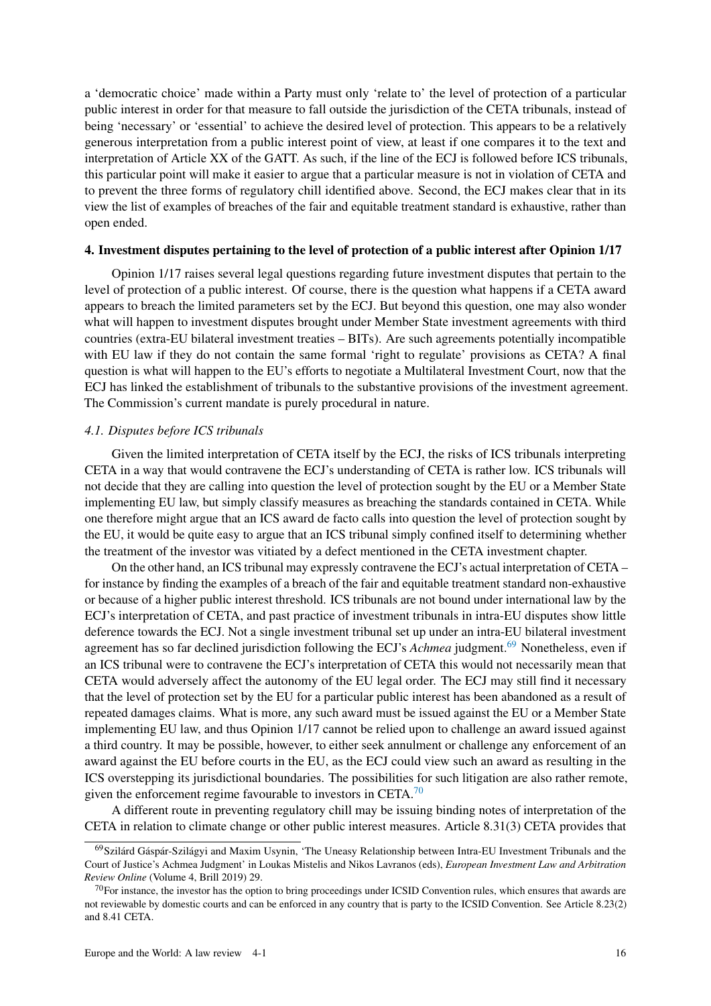a 'democratic choice' made within a Party must only 'relate to' the level of protection of a particular public interest in order for that measure to fall outside the jurisdiction of the CETA tribunals, instead of being 'necessary' or 'essential' to achieve the desired level of protection. This appears to be a relatively generous interpretation from a public interest point of view, at least if one compares it to the text and interpretation of Article XX of the GATT. As such, if the line of the ECJ is followed before ICS tribunals, this particular point will make it easier to argue that a particular measure is not in violation of CETA and to prevent the three forms of regulatory chill identified above. Second, the ECJ makes clear that in its view the list of examples of breaches of the fair and equitable treatment standard is exhaustive, rather than open ended.

#### 4. Investment disputes pertaining to the level of protection of a public interest after Opinion 1/17

Opinion 1/17 raises several legal questions regarding future investment disputes that pertain to the level of protection of a public interest. Of course, there is the question what happens if a CETA award appears to breach the limited parameters set by the ECJ. But beyond this question, one may also wonder what will happen to investment disputes brought under Member State investment agreements with third countries (extra-EU bilateral investment treaties – BITs). Are such agreements potentially incompatible with EU law if they do not contain the same formal 'right to regulate' provisions as CETA? A final question is what will happen to the EU's efforts to negotiate a Multilateral Investment Court, now that the ECJ has linked the establishment of tribunals to the substantive provisions of the investment agreement. The Commission's current mandate is purely procedural in nature.

### *4.1. Disputes before ICS tribunals*

Given the limited interpretation of CETA itself by the ECJ, the risks of ICS tribunals interpreting CETA in a way that would contravene the ECJ's understanding of CETA is rather low. ICS tribunals will not decide that they are calling into question the level of protection sought by the EU or a Member State implementing EU law, but simply classify measures as breaching the standards contained in CETA. While one therefore might argue that an ICS award de facto calls into question the level of protection sought by the EU, it would be quite easy to argue that an ICS tribunal simply confined itself to determining whether the treatment of the investor was vitiated by a defect mentioned in the CETA investment chapter.

On the other hand, an ICS tribunal may expressly contravene the ECJ's actual interpretation of CETA – for instance by finding the examples of a breach of the fair and equitable treatment standard non-exhaustive or because of a higher public interest threshold. ICS tribunals are not bound under international law by the ECJ's interpretation of CETA, and past practice of investment tribunals in intra-EU disputes show little deference towards the ECJ. Not a single investment tribunal set up under an intra-EU bilateral investment agreement has so far declined jurisdiction following the ECJ's *Achmea* judgment.<sup>[69](#page-16-0)</sup> Nonetheless, even if an ICS tribunal were to contravene the ECJ's interpretation of CETA this would not necessarily mean that CETA would adversely affect the autonomy of the EU legal order. The ECJ may still find it necessary that the level of protection set by the EU for a particular public interest has been abandoned as a result of repeated damages claims. What is more, any such award must be issued against the EU or a Member State implementing EU law, and thus Opinion 1/17 cannot be relied upon to challenge an award issued against a third country. It may be possible, however, to either seek annulment or challenge any enforcement of an award against the EU before courts in the EU, as the ECJ could view such an award as resulting in the ICS overstepping its jurisdictional boundaries. The possibilities for such litigation are also rather remote, given the enforcement regime favourable to investors in CETA.<sup>[70](#page-16-1)</sup>

A different route in preventing regulatory chill may be issuing binding notes of interpretation of the CETA in relation to climate change or other public interest measures. Article 8.31(3) CETA provides that

<span id="page-16-0"></span> $^{69}$ Szilárd Gáspár-Szilágyi and Maxim Usynin, 'The Uneasy Relationship between Intra-EU Investment Tribunals and the Court of Justice's Achmea Judgment' in Loukas Mistelis and Nikos Lavranos (eds), *European Investment Law and Arbitration Review Online* (Volume 4, Brill 2019) 29.

<span id="page-16-1"></span> $70$ For instance, the investor has the option to bring proceedings under ICSID Convention rules, which ensures that awards are not reviewable by domestic courts and can be enforced in any country that is party to the ICSID Convention. See Article 8.23(2) and 8.41 CETA.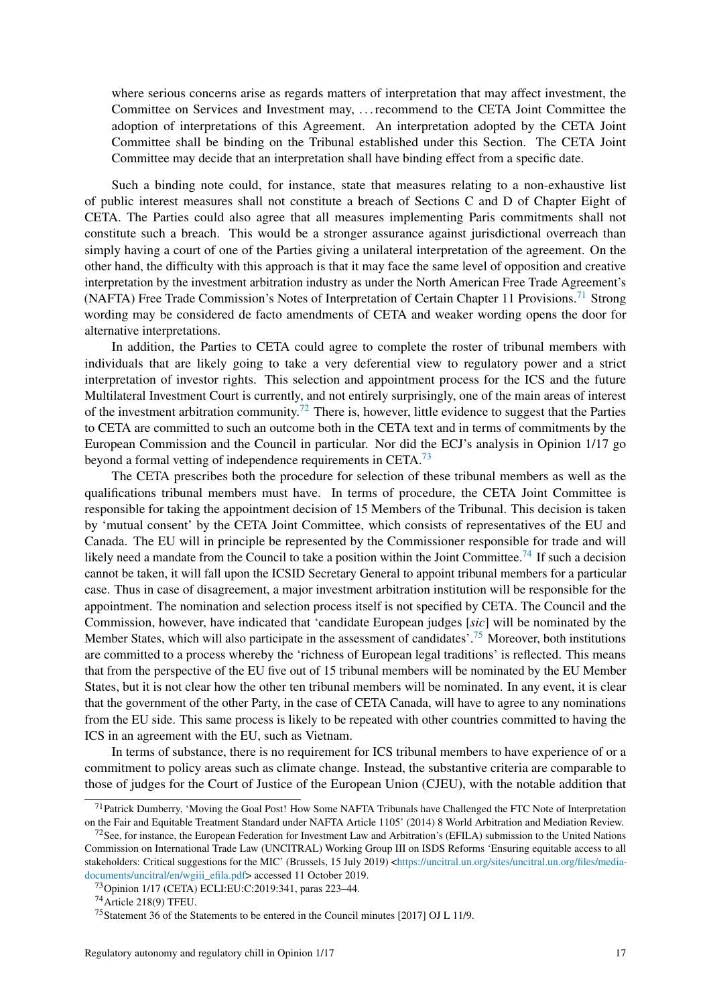where serious concerns arise as regards matters of interpretation that may affect investment, the Committee on Services and Investment may, . . . recommend to the CETA Joint Committee the adoption of interpretations of this Agreement. An interpretation adopted by the CETA Joint Committee shall be binding on the Tribunal established under this Section. The CETA Joint Committee may decide that an interpretation shall have binding effect from a specific date.

Such a binding note could, for instance, state that measures relating to a non-exhaustive list of public interest measures shall not constitute a breach of Sections C and D of Chapter Eight of CETA. The Parties could also agree that all measures implementing Paris commitments shall not constitute such a breach. This would be a stronger assurance against jurisdictional overreach than simply having a court of one of the Parties giving a unilateral interpretation of the agreement. On the other hand, the difficulty with this approach is that it may face the same level of opposition and creative interpretation by the investment arbitration industry as under the North American Free Trade Agreement's (NAFTA) Free Trade Commission's Notes of Interpretation of Certain Chapter 11 Provisions.<sup>[71](#page-17-0)</sup> Strong wording may be considered de facto amendments of CETA and weaker wording opens the door for alternative interpretations.

In addition, the Parties to CETA could agree to complete the roster of tribunal members with individuals that are likely going to take a very deferential view to regulatory power and a strict interpretation of investor rights. This selection and appointment process for the ICS and the future Multilateral Investment Court is currently, and not entirely surprisingly, one of the main areas of interest of the investment arbitration community.<sup>[72](#page-17-1)</sup> There is, however, little evidence to suggest that the Parties to CETA are committed to such an outcome both in the CETA text and in terms of commitments by the European Commission and the Council in particular. Nor did the ECJ's analysis in Opinion 1/17 go beyond a formal vetting of independence requirements in CETA.<sup>[73](#page-17-2)</sup>

The CETA prescribes both the procedure for selection of these tribunal members as well as the qualifications tribunal members must have. In terms of procedure, the CETA Joint Committee is responsible for taking the appointment decision of 15 Members of the Tribunal. This decision is taken by 'mutual consent' by the CETA Joint Committee, which consists of representatives of the EU and Canada. The EU will in principle be represented by the Commissioner responsible for trade and will likely need a mandate from the Council to take a position within the Joint Committee.<sup>[74](#page-17-3)</sup> If such a decision cannot be taken, it will fall upon the ICSID Secretary General to appoint tribunal members for a particular case. Thus in case of disagreement, a major investment arbitration institution will be responsible for the appointment. The nomination and selection process itself is not specified by CETA. The Council and the Commission, however, have indicated that 'candidate European judges [*sic*] will be nominated by the Member States, which will also participate in the assessment of candidates'.<sup>[75](#page-17-4)</sup> Moreover, both institutions are committed to a process whereby the 'richness of European legal traditions' is reflected. This means that from the perspective of the EU five out of 15 tribunal members will be nominated by the EU Member States, but it is not clear how the other ten tribunal members will be nominated. In any event, it is clear that the government of the other Party, in the case of CETA Canada, will have to agree to any nominations from the EU side. This same process is likely to be repeated with other countries committed to having the ICS in an agreement with the EU, such as Vietnam.

In terms of substance, there is no requirement for ICS tribunal members to have experience of or a commitment to policy areas such as climate change. Instead, the substantive criteria are comparable to those of judges for the Court of Justice of the European Union (CJEU), with the notable addition that

<span id="page-17-0"></span> $71$ Patrick Dumberry, 'Moving the Goal Post! How Some NAFTA Tribunals have Challenged the FTC Note of Interpretation on the Fair and Equitable Treatment Standard under NAFTA Article 1105' (2014) 8 World Arbitration and Mediation Review.

<span id="page-17-1"></span> $^{72}$ See, for instance, the European Federation for Investment Law and Arbitration's (EFILA) submission to the United Nations Commission on International Trade Law (UNCITRAL) Working Group III on ISDS Reforms 'Ensuring equitable access to all stakeholders: Critical suggestions for the MIC' (Brussels, 15 July 2019) [<https://uncitral.un.org/sites/uncitral.un.org/files/media](https://uncitral.un.org/sites/uncitral.un.org/files/media-documents/uncitral/en/wgiii_efila.pdf)[documents/uncitral/en/wgiii\\_efila.pdf>](https://uncitral.un.org/sites/uncitral.un.org/files/media-documents/uncitral/en/wgiii_efila.pdf) accessed 11 October 2019.

<span id="page-17-2"></span><sup>73</sup>Opinion 1/17 (CETA) ECLI:EU:C:2019:341, paras 223–44.

<span id="page-17-3"></span><sup>74</sup>Article 218(9) TFEU.

<span id="page-17-4"></span><sup>75</sup>Statement 36 of the Statements to be entered in the Council minutes [2017] OJ L 11/9.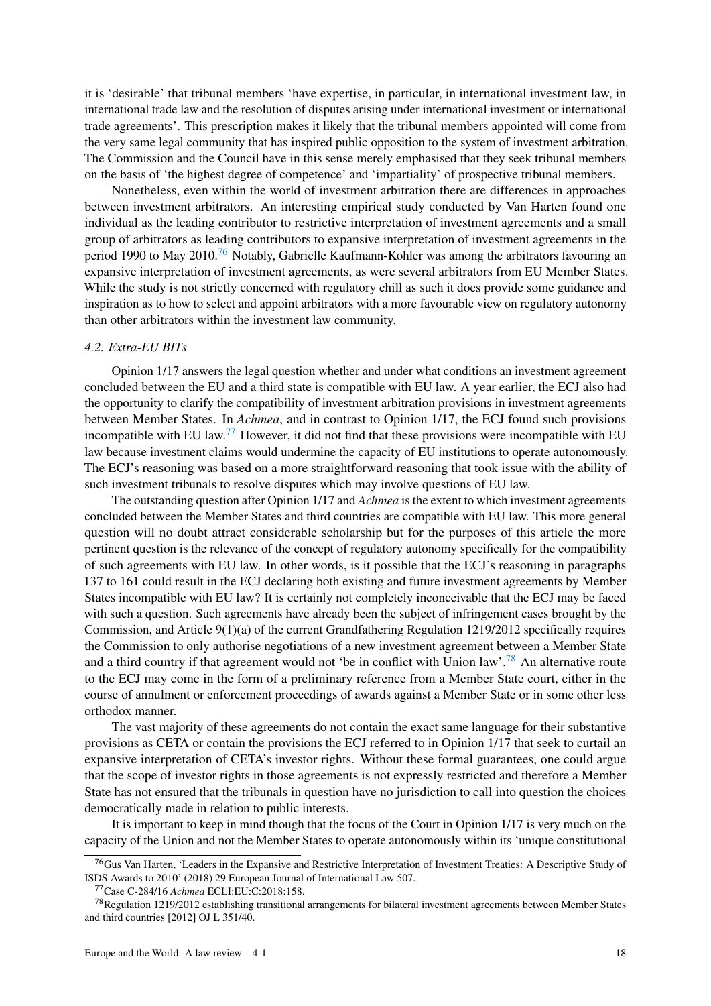it is 'desirable' that tribunal members 'have expertise, in particular, in international investment law, in international trade law and the resolution of disputes arising under international investment or international trade agreements'. This prescription makes it likely that the tribunal members appointed will come from the very same legal community that has inspired public opposition to the system of investment arbitration. The Commission and the Council have in this sense merely emphasised that they seek tribunal members on the basis of 'the highest degree of competence' and 'impartiality' of prospective tribunal members.

Nonetheless, even within the world of investment arbitration there are differences in approaches between investment arbitrators. An interesting empirical study conducted by Van Harten found one individual as the leading contributor to restrictive interpretation of investment agreements and a small group of arbitrators as leading contributors to expansive interpretation of investment agreements in the period 1990 to May 2010.[76](#page-18-0) Notably, Gabrielle Kaufmann-Kohler was among the arbitrators favouring an expansive interpretation of investment agreements, as were several arbitrators from EU Member States. While the study is not strictly concerned with regulatory chill as such it does provide some guidance and inspiration as to how to select and appoint arbitrators with a more favourable view on regulatory autonomy than other arbitrators within the investment law community.

## *4.2. Extra-EU BITs*

Opinion 1/17 answers the legal question whether and under what conditions an investment agreement concluded between the EU and a third state is compatible with EU law. A year earlier, the ECJ also had the opportunity to clarify the compatibility of investment arbitration provisions in investment agreements between Member States. In *Achmea*, and in contrast to Opinion 1/17, the ECJ found such provisions incompatible with EU law.<sup>[77](#page-18-1)</sup> However, it did not find that these provisions were incompatible with EU law because investment claims would undermine the capacity of EU institutions to operate autonomously. The ECJ's reasoning was based on a more straightforward reasoning that took issue with the ability of such investment tribunals to resolve disputes which may involve questions of EU law.

The outstanding question after Opinion 1/17 and *Achmea* is the extent to which investment agreements concluded between the Member States and third countries are compatible with EU law. This more general question will no doubt attract considerable scholarship but for the purposes of this article the more pertinent question is the relevance of the concept of regulatory autonomy specifically for the compatibility of such agreements with EU law. In other words, is it possible that the ECJ's reasoning in paragraphs 137 to 161 could result in the ECJ declaring both existing and future investment agreements by Member States incompatible with EU law? It is certainly not completely inconceivable that the ECJ may be faced with such a question. Such agreements have already been the subject of infringement cases brought by the Commission, and Article 9(1)(a) of the current Grandfathering Regulation 1219/2012 specifically requires the Commission to only authorise negotiations of a new investment agreement between a Member State and a third country if that agreement would not 'be in conflict with Union law'.<sup>[78](#page-18-2)</sup> An alternative route to the ECJ may come in the form of a preliminary reference from a Member State court, either in the course of annulment or enforcement proceedings of awards against a Member State or in some other less orthodox manner.

The vast majority of these agreements do not contain the exact same language for their substantive provisions as CETA or contain the provisions the ECJ referred to in Opinion 1/17 that seek to curtail an expansive interpretation of CETA's investor rights. Without these formal guarantees, one could argue that the scope of investor rights in those agreements is not expressly restricted and therefore a Member State has not ensured that the tribunals in question have no jurisdiction to call into question the choices democratically made in relation to public interests.

It is important to keep in mind though that the focus of the Court in Opinion 1/17 is very much on the capacity of the Union and not the Member States to operate autonomously within its 'unique constitutional

<span id="page-18-0"></span><sup>76</sup>Gus Van Harten, 'Leaders in the Expansive and Restrictive Interpretation of Investment Treaties: A Descriptive Study of ISDS Awards to 2010' (2018) 29 European Journal of International Law 507.

<span id="page-18-2"></span><span id="page-18-1"></span><sup>77</sup>Case C-284/16 *Achmea* ECLI:EU:C:2018:158.

 $^{78}$ Regulation 1219/2012 establishing transitional arrangements for bilateral investment agreements between Member States and third countries [2012] OJ L 351/40.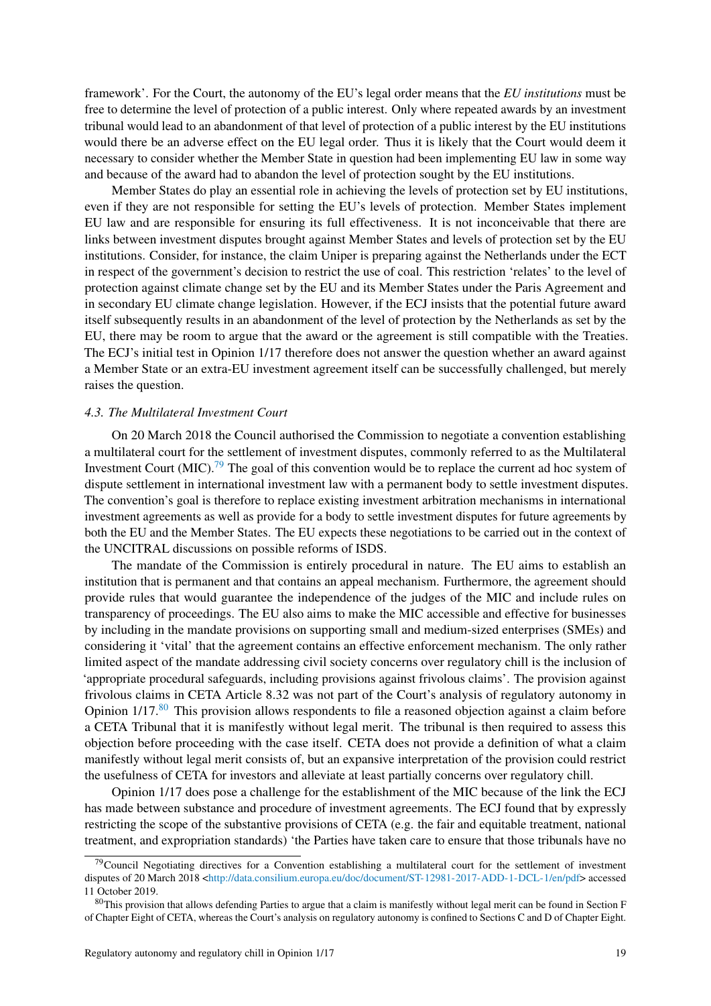framework'. For the Court, the autonomy of the EU's legal order means that the *EU institutions* must be free to determine the level of protection of a public interest. Only where repeated awards by an investment tribunal would lead to an abandonment of that level of protection of a public interest by the EU institutions would there be an adverse effect on the EU legal order. Thus it is likely that the Court would deem it necessary to consider whether the Member State in question had been implementing EU law in some way and because of the award had to abandon the level of protection sought by the EU institutions.

Member States do play an essential role in achieving the levels of protection set by EU institutions, even if they are not responsible for setting the EU's levels of protection. Member States implement EU law and are responsible for ensuring its full effectiveness. It is not inconceivable that there are links between investment disputes brought against Member States and levels of protection set by the EU institutions. Consider, for instance, the claim Uniper is preparing against the Netherlands under the ECT in respect of the government's decision to restrict the use of coal. This restriction 'relates' to the level of protection against climate change set by the EU and its Member States under the Paris Agreement and in secondary EU climate change legislation. However, if the ECJ insists that the potential future award itself subsequently results in an abandonment of the level of protection by the Netherlands as set by the EU, there may be room to argue that the award or the agreement is still compatible with the Treaties. The ECJ's initial test in Opinion 1/17 therefore does not answer the question whether an award against a Member State or an extra-EU investment agreement itself can be successfully challenged, but merely raises the question.

### *4.3. The Multilateral Investment Court*

On 20 March 2018 the Council authorised the Commission to negotiate a convention establishing a multilateral court for the settlement of investment disputes, commonly referred to as the Multilateral Investment Court (MIC).<sup>[79](#page-19-0)</sup> The goal of this convention would be to replace the current ad hoc system of dispute settlement in international investment law with a permanent body to settle investment disputes. The convention's goal is therefore to replace existing investment arbitration mechanisms in international investment agreements as well as provide for a body to settle investment disputes for future agreements by both the EU and the Member States. The EU expects these negotiations to be carried out in the context of the UNCITRAL discussions on possible reforms of ISDS.

The mandate of the Commission is entirely procedural in nature. The EU aims to establish an institution that is permanent and that contains an appeal mechanism. Furthermore, the agreement should provide rules that would guarantee the independence of the judges of the MIC and include rules on transparency of proceedings. The EU also aims to make the MIC accessible and effective for businesses by including in the mandate provisions on supporting small and medium-sized enterprises (SMEs) and considering it 'vital' that the agreement contains an effective enforcement mechanism. The only rather limited aspect of the mandate addressing civil society concerns over regulatory chill is the inclusion of 'appropriate procedural safeguards, including provisions against frivolous claims'. The provision against frivolous claims in CETA Article 8.32 was not part of the Court's analysis of regulatory autonomy in Opinion 1/17.<sup>[80](#page-19-1)</sup> This provision allows respondents to file a reasoned objection against a claim before a CETA Tribunal that it is manifestly without legal merit. The tribunal is then required to assess this objection before proceeding with the case itself. CETA does not provide a definition of what a claim manifestly without legal merit consists of, but an expansive interpretation of the provision could restrict the usefulness of CETA for investors and alleviate at least partially concerns over regulatory chill.

Opinion 1/17 does pose a challenge for the establishment of the MIC because of the link the ECJ has made between substance and procedure of investment agreements. The ECJ found that by expressly restricting the scope of the substantive provisions of CETA (e.g. the fair and equitable treatment, national treatment, and expropriation standards) 'the Parties have taken care to ensure that those tribunals have no

<span id="page-19-0"></span> $79$ Council Negotiating directives for a Convention establishing a multilateral court for the settlement of investment disputes of 20 March 2018 [<http://data.consilium.europa.eu/doc/document/ST-12981-2017-ADD-1-DCL-1/en/pdf>](http://data.consilium.europa.eu/doc/document/ST-12981-2017-ADD-1-DCL-1/en/pdf) accessed 11 October 2019.

<span id="page-19-1"></span> $80$ This provision that allows defending Parties to argue that a claim is manifestly without legal merit can be found in Section F of Chapter Eight of CETA, whereas the Court's analysis on regulatory autonomy is confined to Sections C and D of Chapter Eight.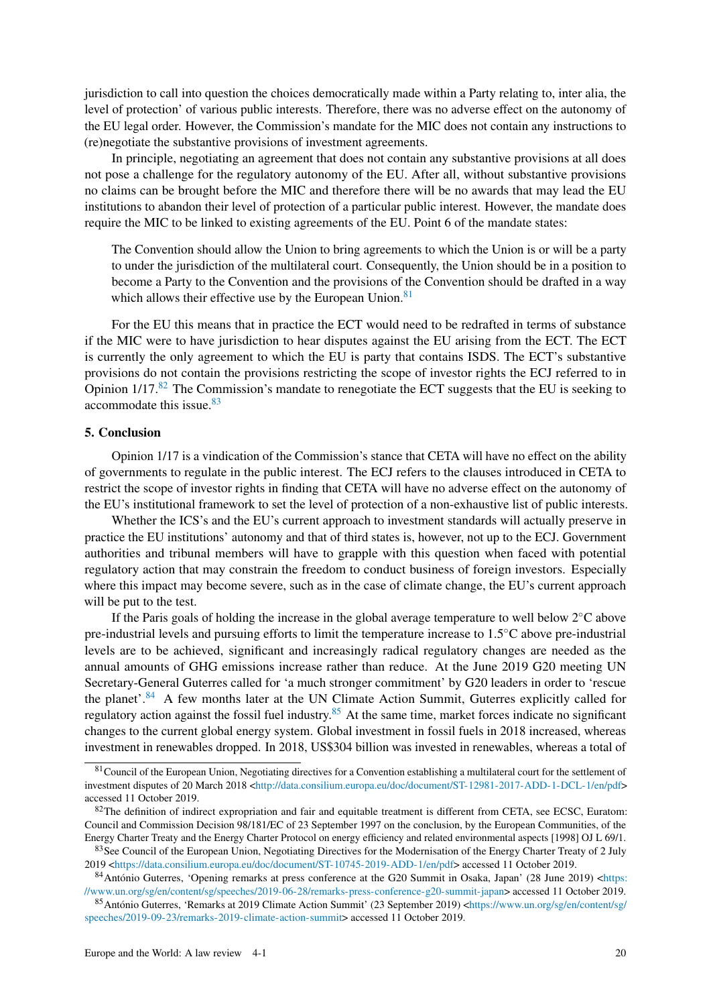jurisdiction to call into question the choices democratically made within a Party relating to, inter alia, the level of protection' of various public interests. Therefore, there was no adverse effect on the autonomy of the EU legal order. However, the Commission's mandate for the MIC does not contain any instructions to (re)negotiate the substantive provisions of investment agreements.

In principle, negotiating an agreement that does not contain any substantive provisions at all does not pose a challenge for the regulatory autonomy of the EU. After all, without substantive provisions no claims can be brought before the MIC and therefore there will be no awards that may lead the EU institutions to abandon their level of protection of a particular public interest. However, the mandate does require the MIC to be linked to existing agreements of the EU. Point 6 of the mandate states:

The Convention should allow the Union to bring agreements to which the Union is or will be a party to under the jurisdiction of the multilateral court. Consequently, the Union should be in a position to become a Party to the Convention and the provisions of the Convention should be drafted in a way which allows their effective use by the European Union. $81$ 

For the EU this means that in practice the ECT would need to be redrafted in terms of substance if the MIC were to have jurisdiction to hear disputes against the EU arising from the ECT. The ECT is currently the only agreement to which the EU is party that contains ISDS. The ECT's substantive provisions do not contain the provisions restricting the scope of investor rights the ECJ referred to in Opinion 1/17.[82](#page-20-1) The Commission's mandate to renegotiate the ECT suggests that the EU is seeking to accommodate this issue. $83$ 

# 5. Conclusion

Opinion 1/17 is a vindication of the Commission's stance that CETA will have no effect on the ability of governments to regulate in the public interest. The ECJ refers to the clauses introduced in CETA to restrict the scope of investor rights in finding that CETA will have no adverse effect on the autonomy of the EU's institutional framework to set the level of protection of a non-exhaustive list of public interests.

Whether the ICS's and the EU's current approach to investment standards will actually preserve in practice the EU institutions' autonomy and that of third states is, however, not up to the ECJ. Government authorities and tribunal members will have to grapple with this question when faced with potential regulatory action that may constrain the freedom to conduct business of foreign investors. Especially where this impact may become severe, such as in the case of climate change, the EU's current approach will be put to the test.

If the Paris goals of holding the increase in the global average temperature to well below 2◦C above pre-industrial levels and pursuing efforts to limit the temperature increase to 1.5◦C above pre-industrial levels are to be achieved, significant and increasingly radical regulatory changes are needed as the annual amounts of GHG emissions increase rather than reduce. At the June 2019 G20 meeting UN Secretary-General Guterres called for 'a much stronger commitment' by G20 leaders in order to 'rescue the planet'.<sup>[84](#page-20-3)</sup> A few months later at the UN Climate Action Summit, Guterres explicitly called for regulatory action against the fossil fuel industry.<sup>[85](#page-20-4)</sup> At the same time, market forces indicate no significant changes to the current global energy system. Global investment in fossil fuels in 2018 increased, whereas investment in renewables dropped. In 2018, US\$304 billion was invested in renewables, whereas a total of

<span id="page-20-0"></span><sup>&</sup>lt;sup>81</sup>Council of the European Union, Negotiating directives for a Convention establishing a multilateral court for the settlement of investment disputes of 20 March 2018 [<http://data.consilium.europa.eu/doc/document/ST-12981-2017-ADD-1-DCL-1/en/pdf>](http://data.consilium.europa.eu/doc/document/ST-12981-2017-ADD-1-DCL-1/en/pdf) accessed 11 October 2019.

<span id="page-20-1"></span> $82$ The definition of indirect expropriation and fair and equitable treatment is different from CETA, see ECSC, Euratom: Council and Commission Decision 98/181/EC of 23 September 1997 on the conclusion, by the European Communities, of the Energy Charter Treaty and the Energy Charter Protocol on energy efficiency and related environmental aspects [1998] OJ L 69/1.

<span id="page-20-2"></span><sup>&</sup>lt;sup>83</sup>See Council of the European Union, Negotiating Directives for the Modernisation of the Energy Charter Treaty of 2 July 2019 [<https://data.consilium.europa.eu/doc/document/ST-10745-2019-ADD-1/en/pdf>](https://data.consilium.europa.eu/doc/document/ST-10745-2019-ADD-1/en/pdf) accessed 11 October 2019.

<span id="page-20-3"></span><sup>84</sup> António Guterres, 'Opening remarks at press conference at the G20 Summit in Osaka, Japan' (28 June 2019) [<https:](https://www.un.org/sg/en/content/sg/speeches/2019-06-28/remarks-press-conference-g20-summit-japan) [//www.un.org/sg/en/content/sg/speeches/2019-06-28/remarks-press-conference-g20-summit-japan>](https://www.un.org/sg/en/content/sg/speeches/2019-06-28/remarks-press-conference-g20-summit-japan) accessed 11 October 2019.

<span id="page-20-4"></span><sup>85</sup>António Guterres, 'Remarks at 2019 Climate Action Summit' (23 September 2019) [<https://www.un.org/sg/en/content/sg/](https://www.un.org/sg/en/content/sg/speeches/2019-09-23/remarks-2019-climate-action-summit) [speeches/2019-09-23/remarks-2019-climate-action-summit>](https://www.un.org/sg/en/content/sg/speeches/2019-09-23/remarks-2019-climate-action-summit) accessed 11 October 2019.